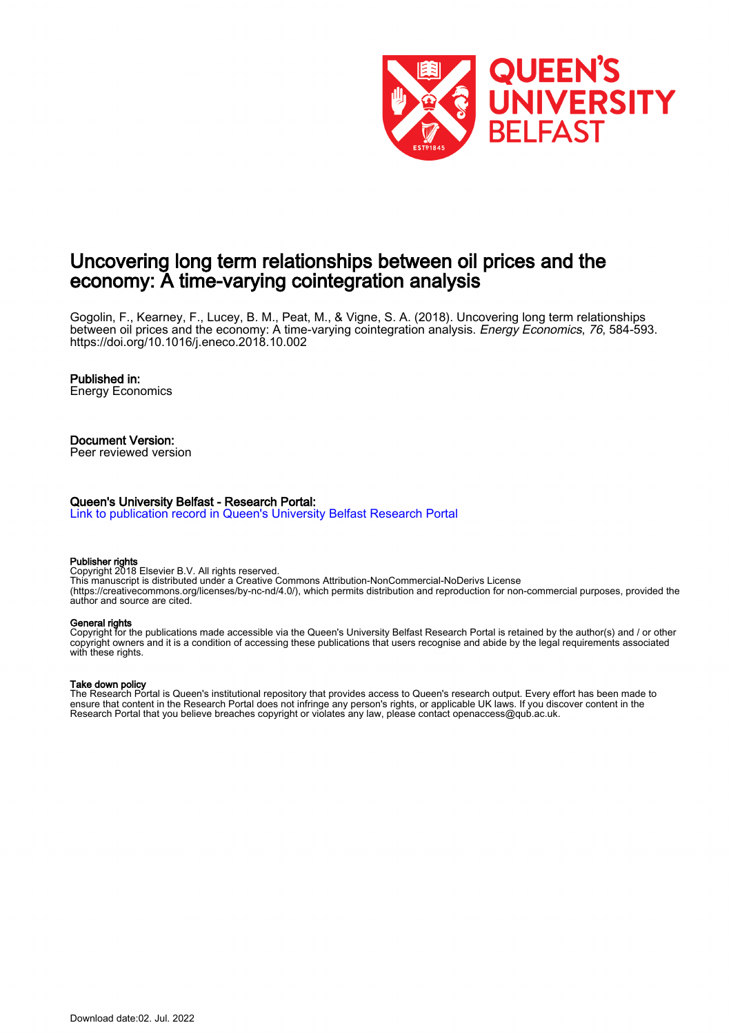

# Uncovering long term relationships between oil prices and the economy: A time-varying cointegration analysis

Gogolin, F., Kearney, F., Lucey, B. M., Peat, M., & Vigne, S. A. (2018). Uncovering long term relationships between oil prices and the economy: A time-varying cointegration analysis. Energy Economics, 76, 584-593. <https://doi.org/10.1016/j.eneco.2018.10.002>

#### Published in:

Energy Economics

## Document Version:

Peer reviewed version

#### Queen's University Belfast - Research Portal:

[Link to publication record in Queen's University Belfast Research Portal](https://pure.qub.ac.uk/en/publications/f5bf4431-d9e1-48ce-b2f7-627b060183b1)

#### Publisher rights

Copyright 2018 Elsevier B.V. All rights reserved. This manuscript is distributed under a Creative Commons Attribution-NonCommercial-NoDerivs License (https://creativecommons.org/licenses/by-nc-nd/4.0/), which permits distribution and reproduction for non-commercial purposes, provided the author and source are cited.

#### General rights

Copyright for the publications made accessible via the Queen's University Belfast Research Portal is retained by the author(s) and / or other copyright owners and it is a condition of accessing these publications that users recognise and abide by the legal requirements associated with these rights.

#### Take down policy

The Research Portal is Queen's institutional repository that provides access to Queen's research output. Every effort has been made to ensure that content in the Research Portal does not infringe any person's rights, or applicable UK laws. If you discover content in the Research Portal that you believe breaches copyright or violates any law, please contact openaccess@qub.ac.uk.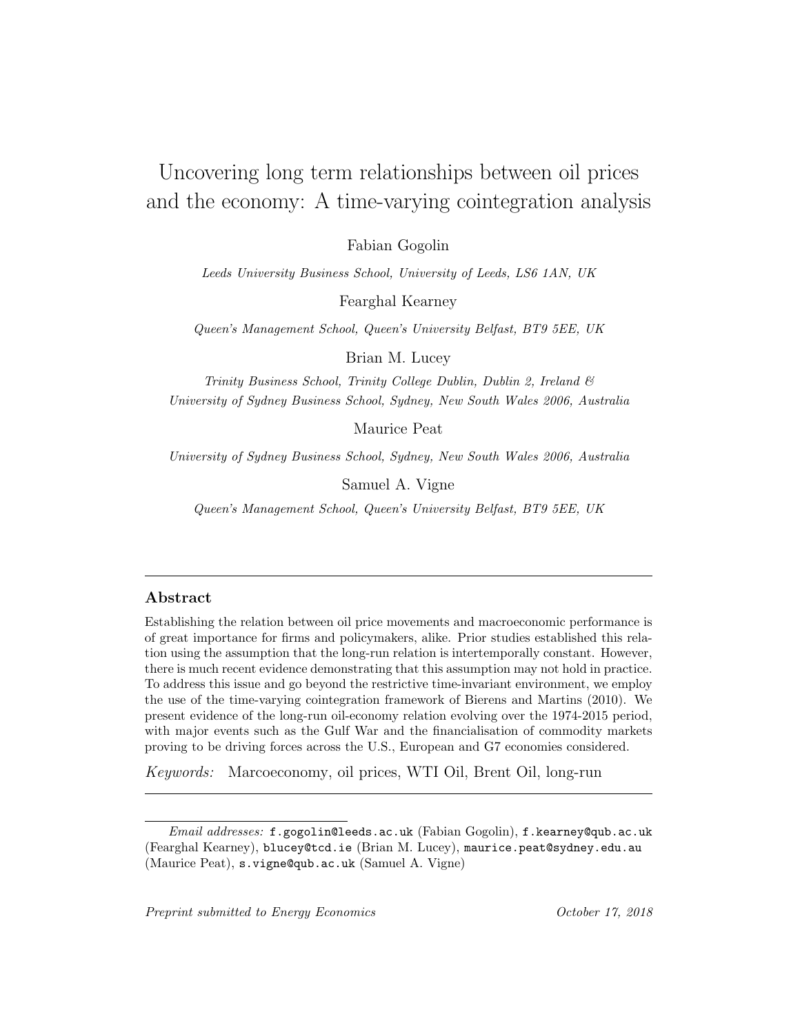# Uncovering long term relationships between oil prices and the economy: A time-varying cointegration analysis

Fabian Gogolin

Leeds University Business School, University of Leeds, LS6 1AN, UK

Fearghal Kearney

Queen's Management School, Queen's University Belfast, BT9 5EE, UK

Brian M. Lucey

Trinity Business School, Trinity College Dublin, Dublin 2, Ireland & University of Sydney Business School, Sydney, New South Wales 2006, Australia

Maurice Peat

University of Sydney Business School, Sydney, New South Wales 2006, Australia

Samuel A. Vigne

Queen's Management School, Queen's University Belfast, BT9 5EE, UK

#### Abstract

Establishing the relation between oil price movements and macroeconomic performance is of great importance for firms and policymakers, alike. Prior studies established this relation using the assumption that the long-run relation is intertemporally constant. However, there is much recent evidence demonstrating that this assumption may not hold in practice. To address this issue and go beyond the restrictive time-invariant environment, we employ the use of the time-varying cointegration framework of Bierens and Martins (2010). We present evidence of the long-run oil-economy relation evolving over the 1974-2015 period, with major events such as the Gulf War and the financialisation of commodity markets proving to be driving forces across the U.S., European and G7 economies considered.

Keywords: Marcoeconomy, oil prices, WTI Oil, Brent Oil, long-run

Email addresses: f.gogolin@leeds.ac.uk (Fabian Gogolin), f.kearney@qub.ac.uk (Fearghal Kearney), blucey@tcd.ie (Brian M. Lucey), maurice.peat@sydney.edu.au (Maurice Peat), s.vigne@qub.ac.uk (Samuel A. Vigne)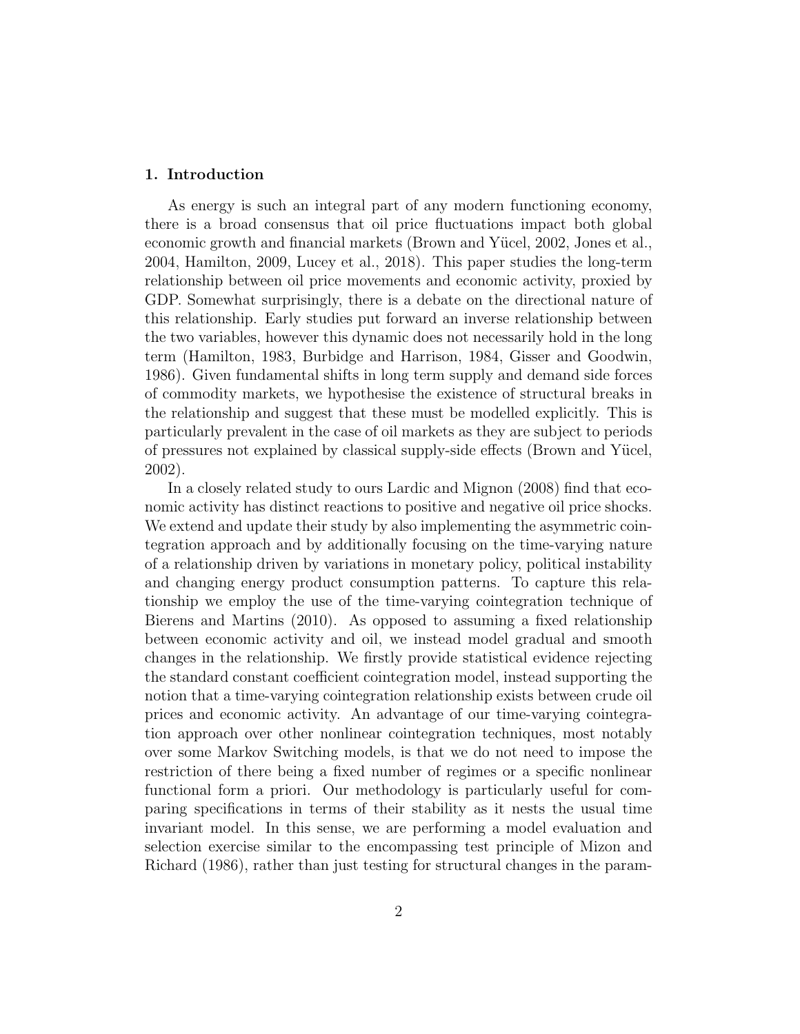#### 1. Introduction

As energy is such an integral part of any modern functioning economy, there is a broad consensus that oil price fluctuations impact both global economic growth and financial markets (Brown and Yücel, 2002, Jones et al., 2004, Hamilton, 2009, Lucey et al., 2018). This paper studies the long-term relationship between oil price movements and economic activity, proxied by GDP. Somewhat surprisingly, there is a debate on the directional nature of this relationship. Early studies put forward an inverse relationship between the two variables, however this dynamic does not necessarily hold in the long term (Hamilton, 1983, Burbidge and Harrison, 1984, Gisser and Goodwin, 1986). Given fundamental shifts in long term supply and demand side forces of commodity markets, we hypothesise the existence of structural breaks in the relationship and suggest that these must be modelled explicitly. This is particularly prevalent in the case of oil markets as they are subject to periods of pressures not explained by classical supply-side effects (Brown and Yücel, 2002).

In a closely related study to ours Lardic and Mignon (2008) find that economic activity has distinct reactions to positive and negative oil price shocks. We extend and update their study by also implementing the asymmetric cointegration approach and by additionally focusing on the time-varying nature of a relationship driven by variations in monetary policy, political instability and changing energy product consumption patterns. To capture this relationship we employ the use of the time-varying cointegration technique of Bierens and Martins (2010). As opposed to assuming a fixed relationship between economic activity and oil, we instead model gradual and smooth changes in the relationship. We firstly provide statistical evidence rejecting the standard constant coefficient cointegration model, instead supporting the notion that a time-varying cointegration relationship exists between crude oil prices and economic activity. An advantage of our time-varying cointegration approach over other nonlinear cointegration techniques, most notably over some Markov Switching models, is that we do not need to impose the restriction of there being a fixed number of regimes or a specific nonlinear functional form a priori. Our methodology is particularly useful for comparing specifications in terms of their stability as it nests the usual time invariant model. In this sense, we are performing a model evaluation and selection exercise similar to the encompassing test principle of Mizon and Richard (1986), rather than just testing for structural changes in the param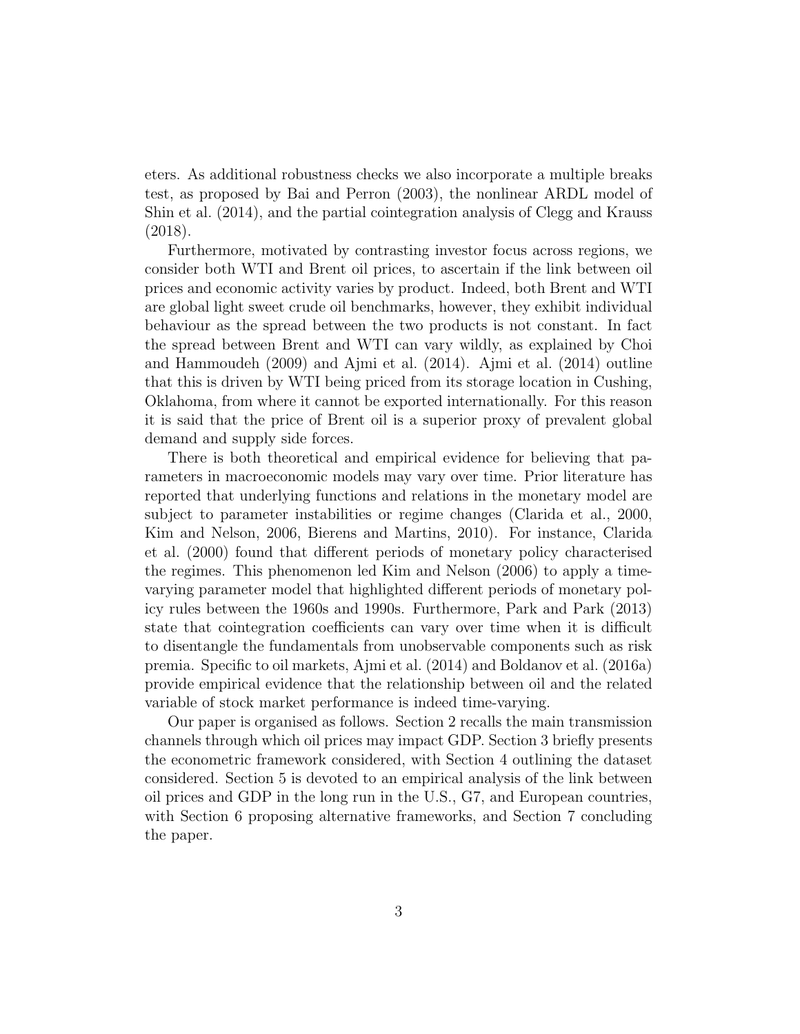eters. As additional robustness checks we also incorporate a multiple breaks test, as proposed by Bai and Perron (2003), the nonlinear ARDL model of Shin et al. (2014), and the partial cointegration analysis of Clegg and Krauss (2018).

Furthermore, motivated by contrasting investor focus across regions, we consider both WTI and Brent oil prices, to ascertain if the link between oil prices and economic activity varies by product. Indeed, both Brent and WTI are global light sweet crude oil benchmarks, however, they exhibit individual behaviour as the spread between the two products is not constant. In fact the spread between Brent and WTI can vary wildly, as explained by Choi and Hammoudeh (2009) and Ajmi et al. (2014). Ajmi et al. (2014) outline that this is driven by WTI being priced from its storage location in Cushing, Oklahoma, from where it cannot be exported internationally. For this reason it is said that the price of Brent oil is a superior proxy of prevalent global demand and supply side forces.

There is both theoretical and empirical evidence for believing that parameters in macroeconomic models may vary over time. Prior literature has reported that underlying functions and relations in the monetary model are subject to parameter instabilities or regime changes (Clarida et al., 2000, Kim and Nelson, 2006, Bierens and Martins, 2010). For instance, Clarida et al. (2000) found that different periods of monetary policy characterised the regimes. This phenomenon led Kim and Nelson (2006) to apply a timevarying parameter model that highlighted different periods of monetary policy rules between the 1960s and 1990s. Furthermore, Park and Park (2013) state that cointegration coefficients can vary over time when it is difficult to disentangle the fundamentals from unobservable components such as risk premia. Specific to oil markets, Ajmi et al. (2014) and Boldanov et al. (2016a) provide empirical evidence that the relationship between oil and the related variable of stock market performance is indeed time-varying.

Our paper is organised as follows. Section 2 recalls the main transmission channels through which oil prices may impact GDP. Section 3 briefly presents the econometric framework considered, with Section 4 outlining the dataset considered. Section 5 is devoted to an empirical analysis of the link between oil prices and GDP in the long run in the U.S., G7, and European countries, with Section 6 proposing alternative frameworks, and Section 7 concluding the paper.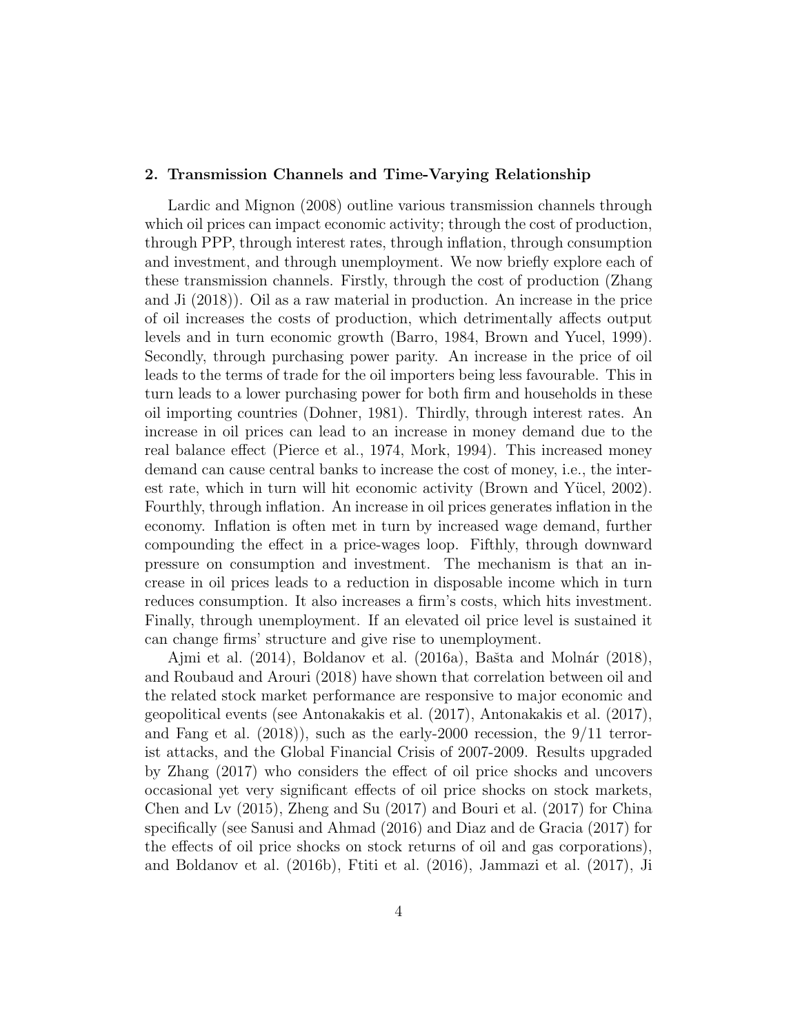#### 2. Transmission Channels and Time-Varying Relationship

Lardic and Mignon (2008) outline various transmission channels through which oil prices can impact economic activity; through the cost of production, through PPP, through interest rates, through inflation, through consumption and investment, and through unemployment. We now briefly explore each of these transmission channels. Firstly, through the cost of production (Zhang and Ji (2018)). Oil as a raw material in production. An increase in the price of oil increases the costs of production, which detrimentally affects output levels and in turn economic growth (Barro, 1984, Brown and Yucel, 1999). Secondly, through purchasing power parity. An increase in the price of oil leads to the terms of trade for the oil importers being less favourable. This in turn leads to a lower purchasing power for both firm and households in these oil importing countries (Dohner, 1981). Thirdly, through interest rates. An increase in oil prices can lead to an increase in money demand due to the real balance effect (Pierce et al., 1974, Mork, 1994). This increased money demand can cause central banks to increase the cost of money, i.e., the interest rate, which in turn will hit economic activity (Brown and Yücel, 2002). Fourthly, through inflation. An increase in oil prices generates inflation in the economy. Inflation is often met in turn by increased wage demand, further compounding the effect in a price-wages loop. Fifthly, through downward pressure on consumption and investment. The mechanism is that an increase in oil prices leads to a reduction in disposable income which in turn reduces consumption. It also increases a firm's costs, which hits investment. Finally, through unemployment. If an elevated oil price level is sustained it can change firms' structure and give rise to unemployment.

Ajmi et al.  $(2014)$ , Boldanov et al.  $(2016a)$ , Bašta and Molnár  $(2018)$ , and Roubaud and Arouri (2018) have shown that correlation between oil and the related stock market performance are responsive to major economic and geopolitical events (see Antonakakis et al. (2017), Antonakakis et al. (2017), and Fang et al.  $(2018)$ , such as the early-2000 recession, the  $9/11$  terrorist attacks, and the Global Financial Crisis of 2007-2009. Results upgraded by Zhang (2017) who considers the effect of oil price shocks and uncovers occasional yet very significant effects of oil price shocks on stock markets, Chen and Lv (2015), Zheng and Su (2017) and Bouri et al. (2017) for China specifically (see Sanusi and Ahmad (2016) and Diaz and de Gracia (2017) for the effects of oil price shocks on stock returns of oil and gas corporations), and Boldanov et al. (2016b), Ftiti et al. (2016), Jammazi et al. (2017), Ji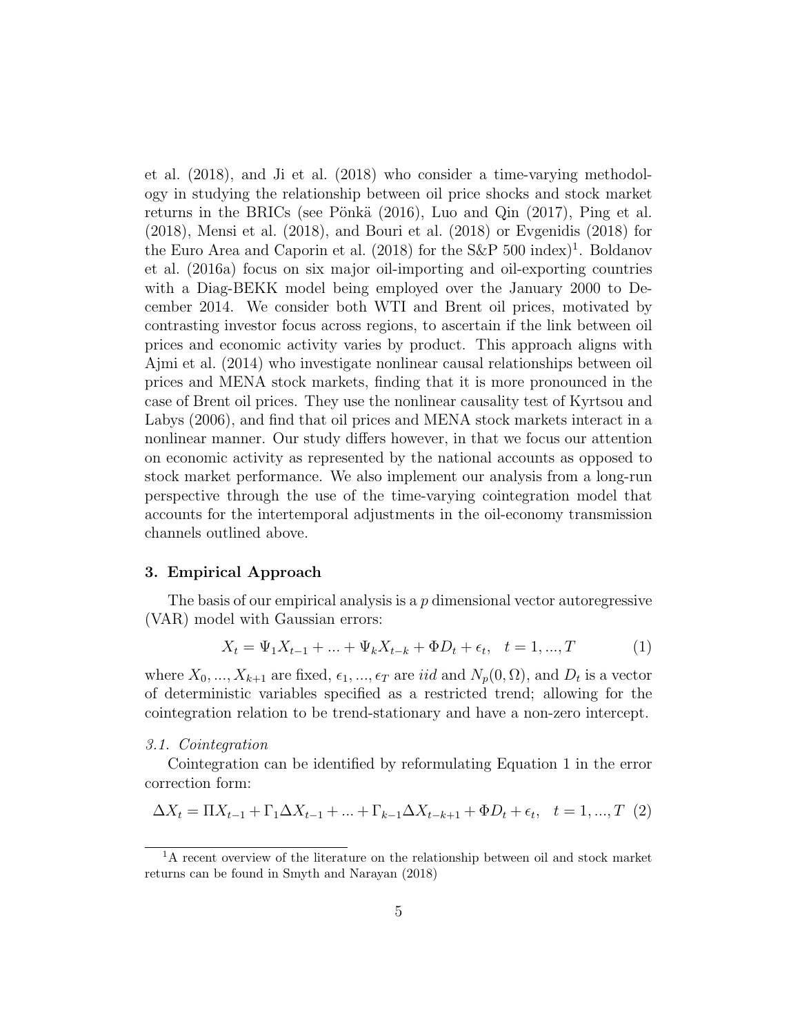et al. (2018), and Ji et al. (2018) who consider a time-varying methodology in studying the relationship between oil price shocks and stock market returns in the BRICs (see Pönkä  $(2016)$ , Luo and Qin  $(2017)$ , Ping et al. (2018), Mensi et al. (2018), and Bouri et al. (2018) or Evgenidis (2018) for the Euro Area and Caporin et al. (2018) for the S&P 500 index)<sup>1</sup>. Boldanov et al. (2016a) focus on six major oil-importing and oil-exporting countries with a Diag-BEKK model being employed over the January 2000 to December 2014. We consider both WTI and Brent oil prices, motivated by contrasting investor focus across regions, to ascertain if the link between oil prices and economic activity varies by product. This approach aligns with Ajmi et al. (2014) who investigate nonlinear causal relationships between oil prices and MENA stock markets, finding that it is more pronounced in the case of Brent oil prices. They use the nonlinear causality test of Kyrtsou and Labys (2006), and find that oil prices and MENA stock markets interact in a nonlinear manner. Our study differs however, in that we focus our attention on economic activity as represented by the national accounts as opposed to stock market performance. We also implement our analysis from a long-run perspective through the use of the time-varying cointegration model that accounts for the intertemporal adjustments in the oil-economy transmission channels outlined above.

#### 3. Empirical Approach

The basis of our empirical analysis is a  $p$  dimensional vector autoregressive (VAR) model with Gaussian errors:

$$
X_t = \Psi_1 X_{t-1} + \dots + \Psi_k X_{t-k} + \Phi D_t + \epsilon_t, \quad t = 1, ..., T \tag{1}
$$

where  $X_0, ..., X_{k+1}$  are fixed,  $\epsilon_1, ..., \epsilon_T$  are *iid* and  $N_p(0, \Omega)$ , and  $D_t$  is a vector of deterministic variables specified as a restricted trend; allowing for the cointegration relation to be trend-stationary and have a non-zero intercept.

3.1. Cointegration

Cointegration can be identified by reformulating Equation 1 in the error correction form:

$$
\Delta X_t = \Pi X_{t-1} + \Gamma_1 \Delta X_{t-1} + \dots + \Gamma_{k-1} \Delta X_{t-k+1} + \Phi D_t + \epsilon_t, \quad t = 1, ..., T
$$
 (2)

<sup>&</sup>lt;sup>1</sup>A recent overview of the literature on the relationship between oil and stock market returns can be found in Smyth and Narayan (2018)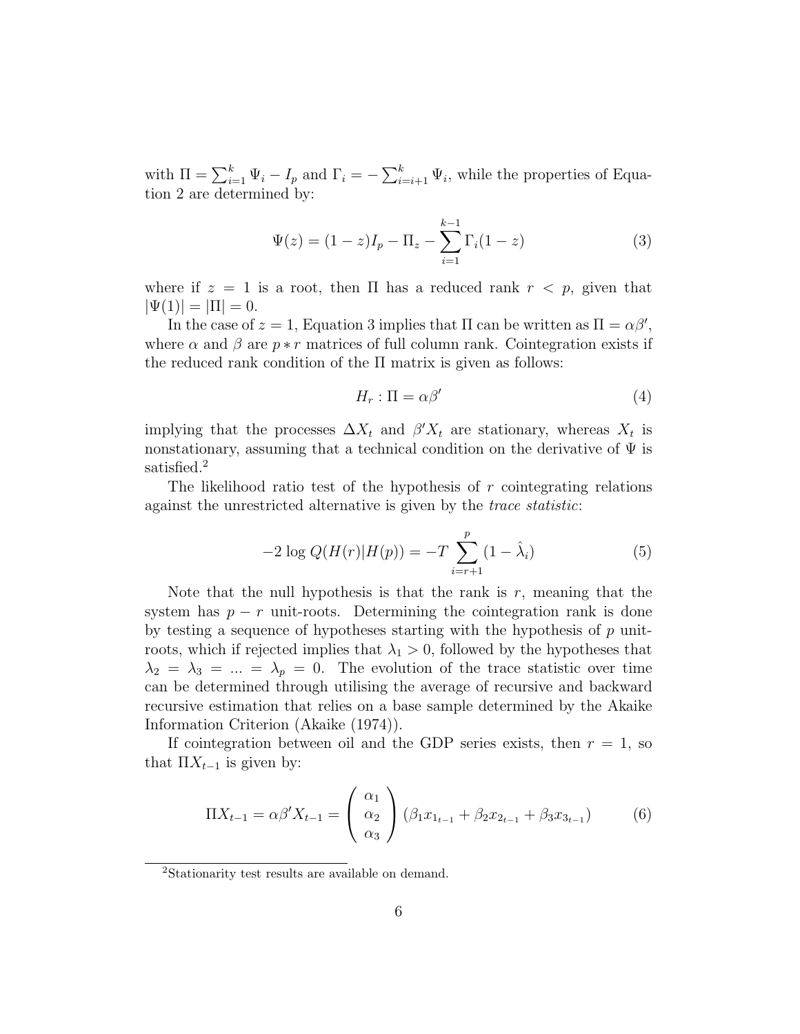with  $\Pi = \sum_{i=1}^{k} \Psi_i - I_p$  and  $\Gamma_i = -\sum_{i=i+1}^{k} \Psi_i$ , while the properties of Equation 2 are determined by:

$$
\Psi(z) = (1 - z)I_p - \Pi_z - \sum_{i=1}^{k-1} \Gamma_i(1 - z)
$$
\n(3)

where if  $z = 1$  is a root, then  $\Pi$  has a reduced rank  $r < p$ , given that  $|\Psi(1)| = |\Pi| = 0.$ 

In the case of  $z = 1$ , Equation 3 implies that  $\Pi$  can be written as  $\Pi = \alpha \beta'$ , where  $\alpha$  and  $\beta$  are  $p * r$  matrices of full column rank. Cointegration exists if the reduced rank condition of the  $\Pi$  matrix is given as follows:

$$
H_r: \Pi = \alpha \beta' \tag{4}
$$

implying that the processes  $\Delta X_t$  and  $\beta' X_t$  are stationary, whereas  $X_t$  is nonstationary, assuming that a technical condition on the derivative of  $\Psi$  is satisfied.<sup>2</sup>

The likelihood ratio test of the hypothesis of  $r$  cointegrating relations against the unrestricted alternative is given by the trace statistic:

$$
-2\log Q(H(r)|H(p)) = -T\sum_{i=r+1}^{p} (1 - \hat{\lambda}_i)
$$
\n(5)

Note that the null hypothesis is that the rank is  $r$ , meaning that the system has  $p - r$  unit-roots. Determining the cointegration rank is done by testing a sequence of hypotheses starting with the hypothesis of  $p$  unitroots, which if rejected implies that  $\lambda_1 > 0$ , followed by the hypotheses that  $\lambda_2 = \lambda_3 = ... = \lambda_p = 0$ . The evolution of the trace statistic over time can be determined through utilising the average of recursive and backward recursive estimation that relies on a base sample determined by the Akaike Information Criterion (Akaike (1974)).

If cointegration between oil and the GDP series exists, then  $r = 1$ , so that  $\Pi X_{t-1}$  is given by:

$$
\Pi X_{t-1} = \alpha \beta' X_{t-1} = \begin{pmatrix} \alpha_1 \\ \alpha_2 \\ \alpha_3 \end{pmatrix} (\beta_1 x_{1_{t-1}} + \beta_2 x_{2_{t-1}} + \beta_3 x_{3_{t-1}}) \tag{6}
$$

<sup>2</sup>Stationarity test results are available on demand.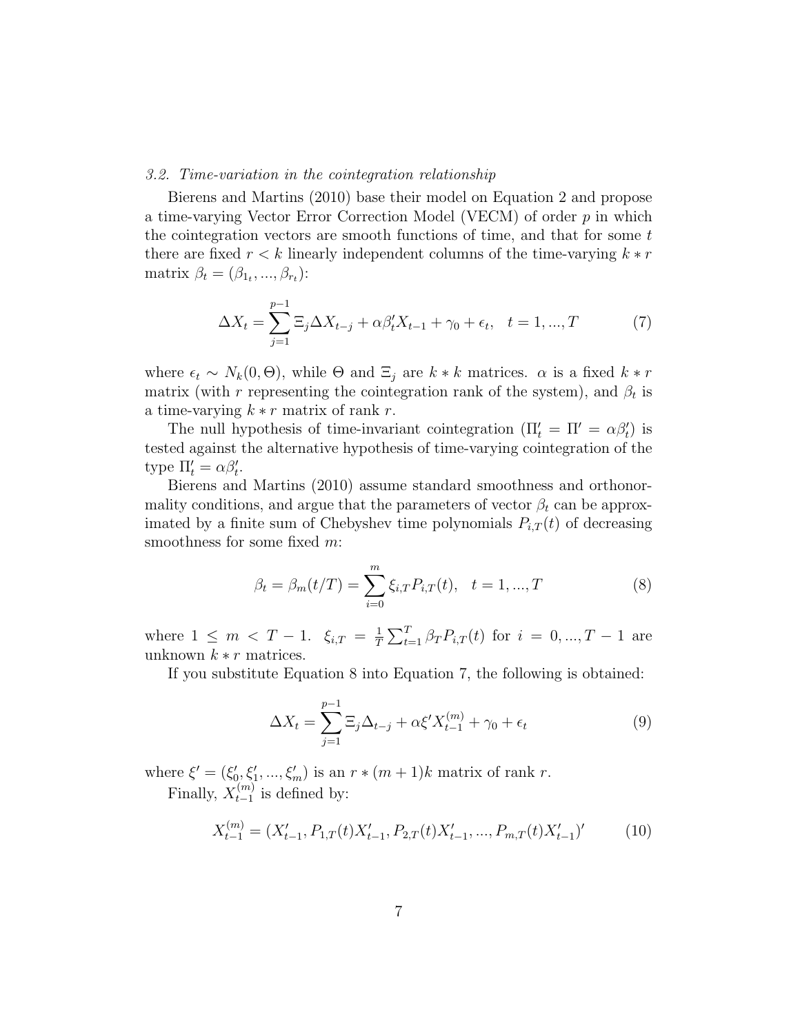#### 3.2. Time-variation in the cointegration relationship

Bierens and Martins (2010) base their model on Equation 2 and propose a time-varying Vector Error Correction Model (VECM) of order  $p$  in which the cointegration vectors are smooth functions of time, and that for some  $t$ there are fixed  $r < k$  linearly independent columns of the time-varying  $k * r$ matrix  $\beta_t = (\beta_{1_t}, ..., \beta_{r_t})$ :

$$
\Delta X_t = \sum_{j=1}^{p-1} \Xi_j \Delta X_{t-j} + \alpha \beta'_t X_{t-1} + \gamma_0 + \epsilon_t, \quad t = 1, ..., T
$$
 (7)

where  $\epsilon_t \sim N_k(0, \Theta)$ , while  $\Theta$  and  $\Xi_i$  are  $k * k$  matrices.  $\alpha$  is a fixed  $k * r$ matrix (with r representing the cointegration rank of the system), and  $\beta_t$  is a time-varying  $k * r$  matrix of rank r.

The null hypothesis of time-invariant cointegration  $(\Pi'_t = \Pi' = \alpha \beta'_t)$  is tested against the alternative hypothesis of time-varying cointegration of the type  $\Pi'_t = \alpha \beta'_t$ .

Bierens and Martins (2010) assume standard smoothness and orthonormality conditions, and argue that the parameters of vector  $\beta_t$  can be approximated by a finite sum of Chebyshev time polynomials  $P_{i,T}(t)$  of decreasing smoothness for some fixed m:

$$
\beta_t = \beta_m(t/T) = \sum_{i=0}^m \xi_{i,T} P_{i,T}(t), \quad t = 1, ..., T
$$
\n(8)

where  $1 \leq m < T - 1$ .  $\xi_{i,T} = \frac{1}{T}$  $\frac{1}{T} \sum_{t=1}^{T} \beta_T P_{i,T}(t)$  for  $i = 0, ..., T - 1$  are unknown  $k * r$  matrices.

If you substitute Equation 8 into Equation 7, the following is obtained:

$$
\Delta X_t = \sum_{j=1}^{p-1} \Xi_j \Delta_{t-j} + \alpha \xi' X_{t-1}^{(m)} + \gamma_0 + \epsilon_t
$$
\n(9)

where  $\xi' = (\xi'_0, \xi'_1, ..., \xi'_m)$  is an  $r * (m + 1)k$  matrix of rank r. Finally,  $X_{t-1}^{(m)}$  $_{t-1}^{(m)}$  is defined by:

$$
X_{t-1}^{(m)} = (X_{t-1}', P_{1,T}(t)X_{t-1}', P_{2,T}(t)X_{t-1}', ..., P_{m,T}(t)X_{t-1}')'
$$
(10)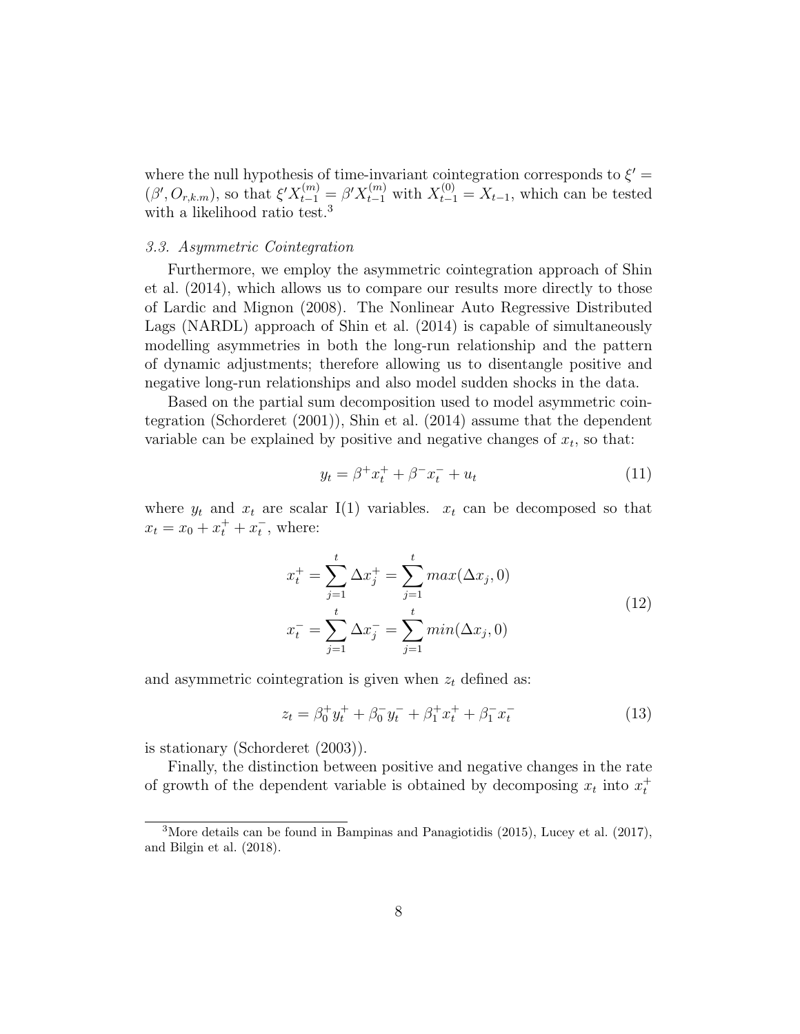where the null hypothesis of time-invariant cointegration corresponds to  $\xi'$  =  $(\beta', O_{r,k,m})$ , so that  $\xi'X_{t-1}^{(m)} = \beta'X_{t-1}^{(m)}$  with  $X_{t-1}^{(0)} = X_{t-1}$ , which can be tested with a likelihood ratio test.<sup>3</sup>

#### 3.3. Asymmetric Cointegration

Furthermore, we employ the asymmetric cointegration approach of Shin et al. (2014), which allows us to compare our results more directly to those of Lardic and Mignon (2008). The Nonlinear Auto Regressive Distributed Lags (NARDL) approach of Shin et al. (2014) is capable of simultaneously modelling asymmetries in both the long-run relationship and the pattern of dynamic adjustments; therefore allowing us to disentangle positive and negative long-run relationships and also model sudden shocks in the data.

Based on the partial sum decomposition used to model asymmetric cointegration (Schorderet (2001)), Shin et al. (2014) assume that the dependent variable can be explained by positive and negative changes of  $x_t$ , so that:

$$
y_t = \beta^+ x_t^+ + \beta^- x_t^- + u_t \tag{11}
$$

where  $y_t$  and  $x_t$  are scalar I(1) variables.  $x_t$  can be decomposed so that  $x_t = x_0 + x_t^+ + x_t^-,$  where:

$$
x_t^+ = \sum_{j=1}^t \Delta x_j^+ = \sum_{j=1}^t max(\Delta x_j, 0)
$$
  

$$
x_t^- = \sum_{j=1}^t \Delta x_j^- = \sum_{j=1}^t min(\Delta x_j, 0)
$$
 (12)

and asymmetric cointegration is given when  $z_t$  defined as:

$$
z_t = \beta_0^+ y_t^+ + \beta_0^- y_t^- + \beta_1^+ x_t^+ + \beta_1^- x_t^- \tag{13}
$$

is stationary (Schorderet (2003)).

Finally, the distinction between positive and negative changes in the rate of growth of the dependent variable is obtained by decomposing  $x_t$  into  $x_t^+$ 

<sup>3</sup>More details can be found in Bampinas and Panagiotidis (2015), Lucey et al. (2017), and Bilgin et al. (2018).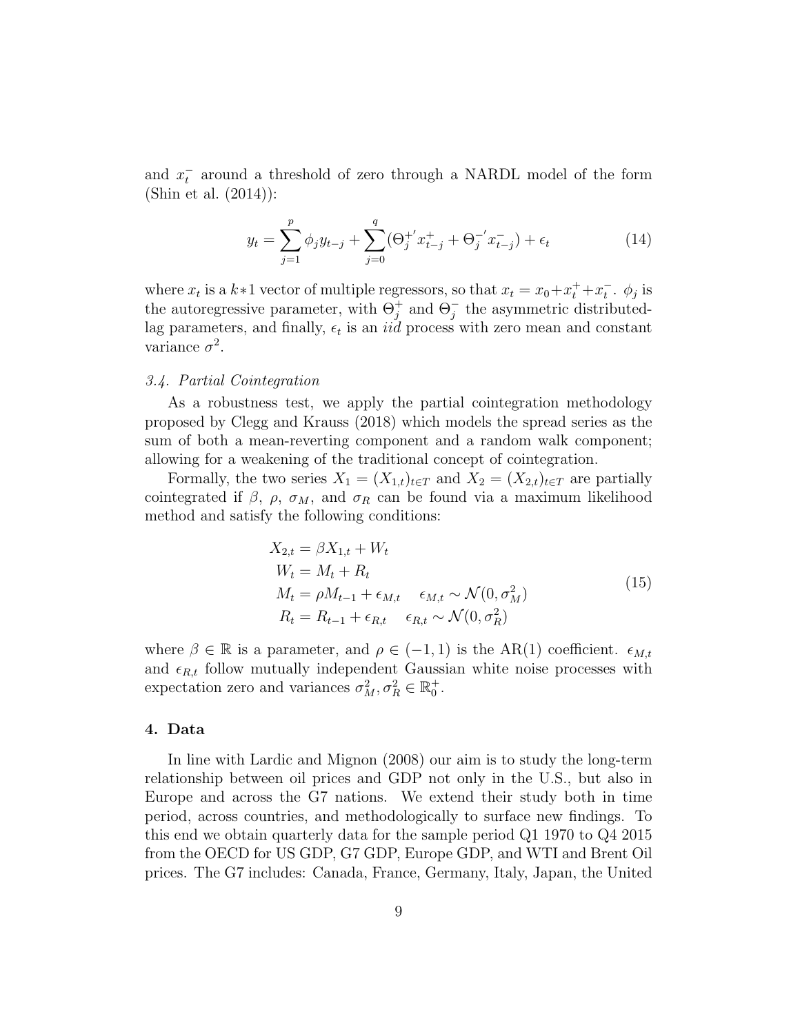and  $x_t^-$  around a threshold of zero through a NARDL model of the form (Shin et al. (2014)):

$$
y_t = \sum_{j=1}^p \phi_j y_{t-j} + \sum_{j=0}^q (\Theta_j^{+'} x_{t-j}^+ + \Theta_j^{-'} x_{t-j}^-) + \epsilon_t
$$
 (14)

where  $x_t$  is a  $k \times 1$  vector of multiple regressors, so that  $x_t = x_0 + x_t^+ + x_t^-$ .  $\phi_j$  is the autoregressive parameter, with  $\Theta_j^+$  and  $\Theta_j^-$  the asymmetric distributedlag parameters, and finally,  $\epsilon_t$  is an *iid* process with zero mean and constant variance  $\sigma^2$ .

#### 3.4. Partial Cointegration

As a robustness test, we apply the partial cointegration methodology proposed by Clegg and Krauss (2018) which models the spread series as the sum of both a mean-reverting component and a random walk component; allowing for a weakening of the traditional concept of cointegration.

Formally, the two series  $X_1 = (X_{1,t})_{t \in T}$  and  $X_2 = (X_{2,t})_{t \in T}$  are partially cointegrated if  $\beta$ ,  $\rho$ ,  $\sigma_M$ , and  $\sigma_R$  can be found via a maximum likelihood method and satisfy the following conditions:

$$
X_{2,t} = \beta X_{1,t} + W_t
$$
  
\n
$$
W_t = M_t + R_t
$$
  
\n
$$
M_t = \rho M_{t-1} + \epsilon_{M,t} \quad \epsilon_{M,t} \sim \mathcal{N}(0, \sigma_M^2)
$$
  
\n
$$
R_t = R_{t-1} + \epsilon_{R,t} \quad \epsilon_{R,t} \sim \mathcal{N}(0, \sigma_R^2)
$$
\n(15)

where  $\beta \in \mathbb{R}$  is a parameter, and  $\rho \in (-1,1)$  is the AR(1) coefficient.  $\epsilon_{M,t}$ and  $\epsilon_{R,t}$  follow mutually independent Gaussian white noise processes with expectation zero and variances  $\sigma_M^2, \sigma_R^2 \in \mathbb{R}_0^+$ .

#### 4. Data

In line with Lardic and Mignon (2008) our aim is to study the long-term relationship between oil prices and GDP not only in the U.S., but also in Europe and across the G7 nations. We extend their study both in time period, across countries, and methodologically to surface new findings. To this end we obtain quarterly data for the sample period Q1 1970 to Q4 2015 from the OECD for US GDP, G7 GDP, Europe GDP, and WTI and Brent Oil prices. The G7 includes: Canada, France, Germany, Italy, Japan, the United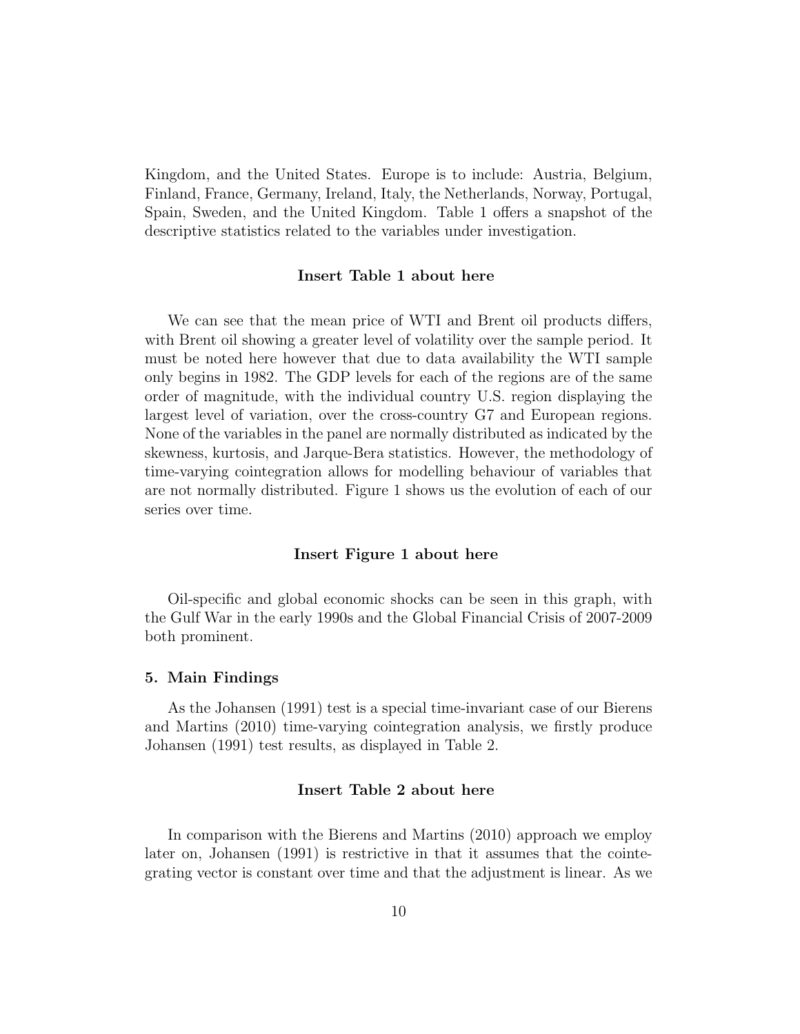Kingdom, and the United States. Europe is to include: Austria, Belgium, Finland, France, Germany, Ireland, Italy, the Netherlands, Norway, Portugal, Spain, Sweden, and the United Kingdom. Table 1 offers a snapshot of the descriptive statistics related to the variables under investigation.

#### Insert Table 1 about here

We can see that the mean price of WTI and Brent oil products differs, with Brent oil showing a greater level of volatility over the sample period. It must be noted here however that due to data availability the WTI sample only begins in 1982. The GDP levels for each of the regions are of the same order of magnitude, with the individual country U.S. region displaying the largest level of variation, over the cross-country G7 and European regions. None of the variables in the panel are normally distributed as indicated by the skewness, kurtosis, and Jarque-Bera statistics. However, the methodology of time-varying cointegration allows for modelling behaviour of variables that are not normally distributed. Figure 1 shows us the evolution of each of our series over time.

#### Insert Figure 1 about here

Oil-specific and global economic shocks can be seen in this graph, with the Gulf War in the early 1990s and the Global Financial Crisis of 2007-2009 both prominent.

#### 5. Main Findings

As the Johansen (1991) test is a special time-invariant case of our Bierens and Martins (2010) time-varying cointegration analysis, we firstly produce Johansen (1991) test results, as displayed in Table 2.

## Insert Table 2 about here

In comparison with the Bierens and Martins (2010) approach we employ later on, Johansen (1991) is restrictive in that it assumes that the cointegrating vector is constant over time and that the adjustment is linear. As we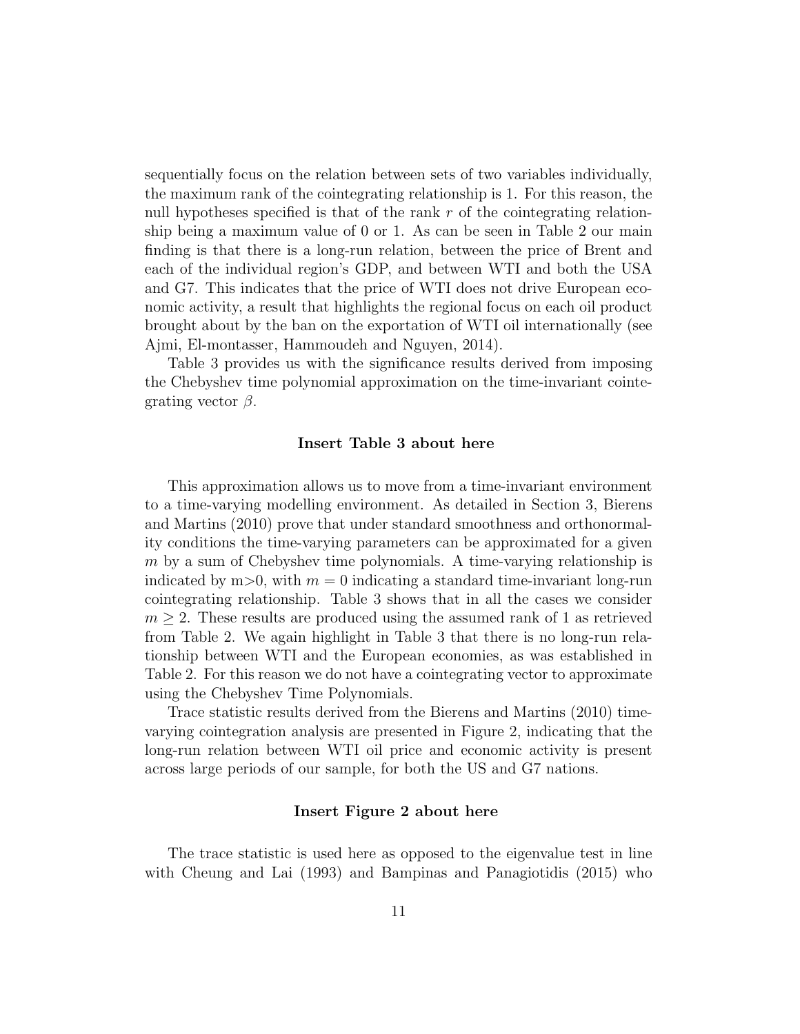sequentially focus on the relation between sets of two variables individually, the maximum rank of the cointegrating relationship is 1. For this reason, the null hypotheses specified is that of the rank  $r$  of the cointegrating relationship being a maximum value of 0 or 1. As can be seen in Table 2 our main finding is that there is a long-run relation, between the price of Brent and each of the individual region's GDP, and between WTI and both the USA and G7. This indicates that the price of WTI does not drive European economic activity, a result that highlights the regional focus on each oil product brought about by the ban on the exportation of WTI oil internationally (see Ajmi, El-montasser, Hammoudeh and Nguyen, 2014).

Table 3 provides us with the significance results derived from imposing the Chebyshev time polynomial approximation on the time-invariant cointegrating vector  $\beta$ .

#### Insert Table 3 about here

This approximation allows us to move from a time-invariant environment to a time-varying modelling environment. As detailed in Section 3, Bierens and Martins (2010) prove that under standard smoothness and orthonormality conditions the time-varying parameters can be approximated for a given m by a sum of Chebyshev time polynomials. A time-varying relationship is indicated by m>0, with  $m = 0$  indicating a standard time-invariant long-run cointegrating relationship. Table 3 shows that in all the cases we consider  $m \geq 2$ . These results are produced using the assumed rank of 1 as retrieved from Table 2. We again highlight in Table 3 that there is no long-run relationship between WTI and the European economies, as was established in Table 2. For this reason we do not have a cointegrating vector to approximate using the Chebyshev Time Polynomials.

Trace statistic results derived from the Bierens and Martins (2010) timevarying cointegration analysis are presented in Figure 2, indicating that the long-run relation between WTI oil price and economic activity is present across large periods of our sample, for both the US and G7 nations.

#### Insert Figure 2 about here

The trace statistic is used here as opposed to the eigenvalue test in line with Cheung and Lai (1993) and Bampinas and Panagiotidis (2015) who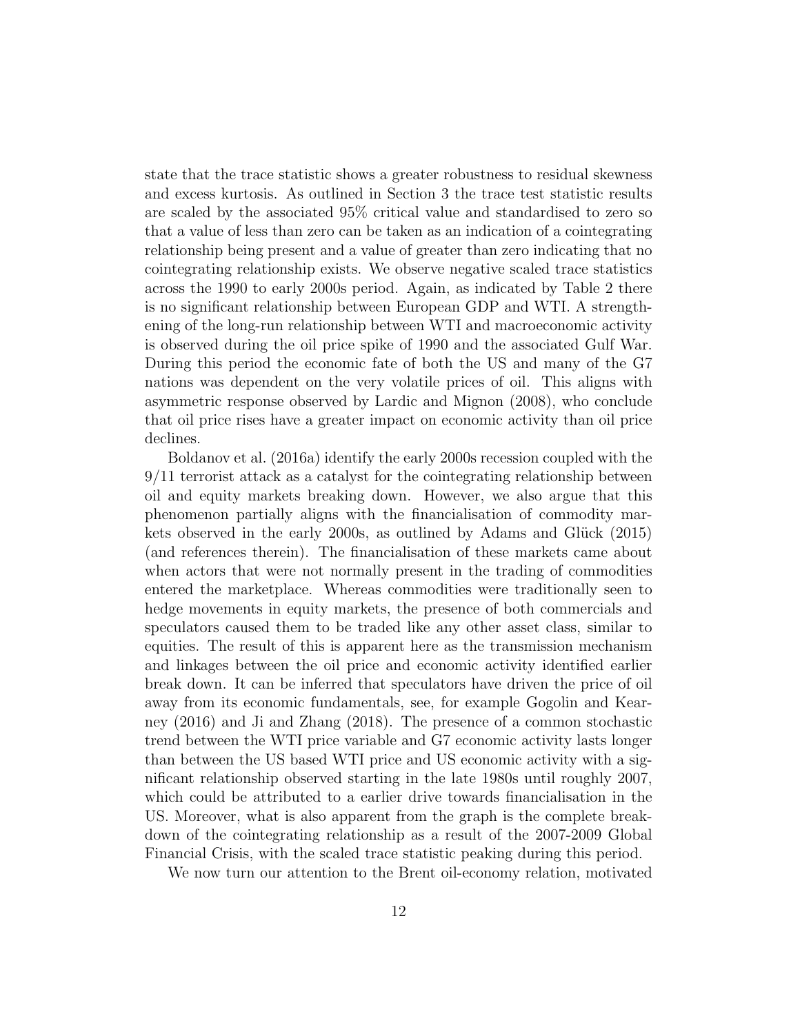state that the trace statistic shows a greater robustness to residual skewness and excess kurtosis. As outlined in Section 3 the trace test statistic results are scaled by the associated 95% critical value and standardised to zero so that a value of less than zero can be taken as an indication of a cointegrating relationship being present and a value of greater than zero indicating that no cointegrating relationship exists. We observe negative scaled trace statistics across the 1990 to early 2000s period. Again, as indicated by Table 2 there is no significant relationship between European GDP and WTI. A strengthening of the long-run relationship between WTI and macroeconomic activity is observed during the oil price spike of 1990 and the associated Gulf War. During this period the economic fate of both the US and many of the G7 nations was dependent on the very volatile prices of oil. This aligns with asymmetric response observed by Lardic and Mignon (2008), who conclude that oil price rises have a greater impact on economic activity than oil price declines.

Boldanov et al. (2016a) identify the early 2000s recession coupled with the 9/11 terrorist attack as a catalyst for the cointegrating relationship between oil and equity markets breaking down. However, we also argue that this phenomenon partially aligns with the financialisation of commodity markets observed in the early 2000s, as outlined by Adams and Glück  $(2015)$ (and references therein). The financialisation of these markets came about when actors that were not normally present in the trading of commodities entered the marketplace. Whereas commodities were traditionally seen to hedge movements in equity markets, the presence of both commercials and speculators caused them to be traded like any other asset class, similar to equities. The result of this is apparent here as the transmission mechanism and linkages between the oil price and economic activity identified earlier break down. It can be inferred that speculators have driven the price of oil away from its economic fundamentals, see, for example Gogolin and Kearney (2016) and Ji and Zhang (2018). The presence of a common stochastic trend between the WTI price variable and G7 economic activity lasts longer than between the US based WTI price and US economic activity with a significant relationship observed starting in the late 1980s until roughly 2007, which could be attributed to a earlier drive towards financialisation in the US. Moreover, what is also apparent from the graph is the complete breakdown of the cointegrating relationship as a result of the 2007-2009 Global Financial Crisis, with the scaled trace statistic peaking during this period.

We now turn our attention to the Brent oil-economy relation, motivated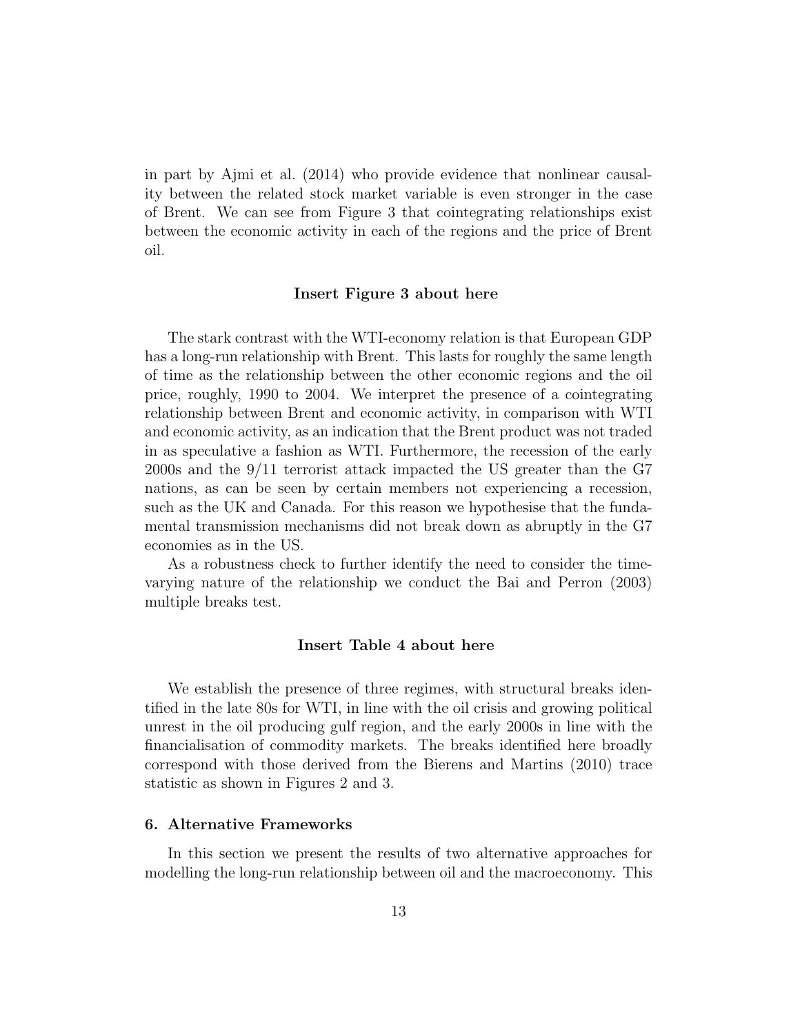in part by Ajmi et al. (2014) who provide evidence that nonlinear causality between the related stock market variable is even stronger in the case of Brent. We can see from Figure 3 that cointegrating relationships exist between the economic activity in each of the regions and the price of Brent oil.

#### Insert Figure 3 about here

The stark contrast with the WTI-economy relation is that European GDP has a long-run relationship with Brent. This lasts for roughly the same length of time as the relationship between the other economic regions and the oil price, roughly, 1990 to 2004. We interpret the presence of a cointegrating relationship between Brent and economic activity, in comparison with WTI and economic activity, as an indication that the Brent product was not traded in as speculative a fashion as WTI. Furthermore, the recession of the early 2000s and the 9/11 terrorist attack impacted the US greater than the G7 nations, as can be seen by certain members not experiencing a recession, such as the UK and Canada. For this reason we hypothesise that the fundamental transmission mechanisms did not break down as abruptly in the G7 economies as in the US.

As a robustness check to further identify the need to consider the timevarying nature of the relationship we conduct the Bai and Perron (2003) multiple breaks test.

### Insert Table 4 about here

We establish the presence of three regimes, with structural breaks identified in the late 80s for WTI, in line with the oil crisis and growing political unrest in the oil producing gulf region, and the early 2000s in line with the financialisation of commodity markets. The breaks identified here broadly correspond with those derived from the Bierens and Martins (2010) trace statistic as shown in Figures 2 and 3.

#### 6. Alternative Frameworks

In this section we present the results of two alternative approaches for modelling the long-run relationship between oil and the macroeconomy. This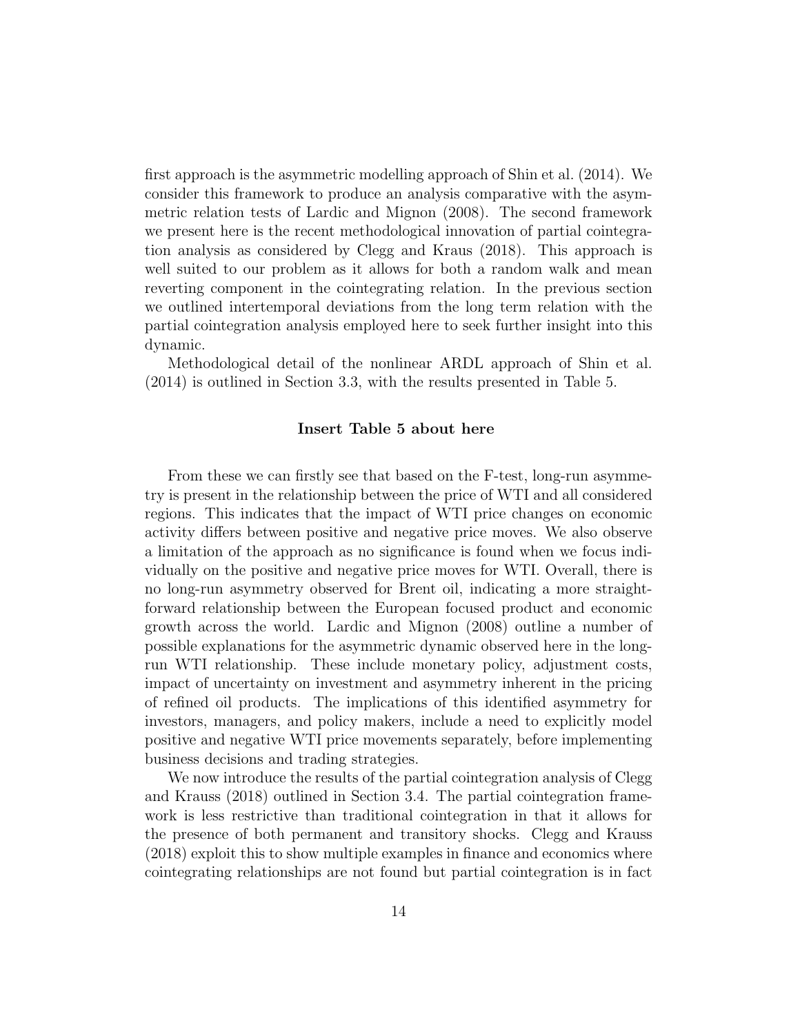first approach is the asymmetric modelling approach of Shin et al. (2014). We consider this framework to produce an analysis comparative with the asymmetric relation tests of Lardic and Mignon (2008). The second framework we present here is the recent methodological innovation of partial cointegration analysis as considered by Clegg and Kraus (2018). This approach is well suited to our problem as it allows for both a random walk and mean reverting component in the cointegrating relation. In the previous section we outlined intertemporal deviations from the long term relation with the partial cointegration analysis employed here to seek further insight into this dynamic.

Methodological detail of the nonlinear ARDL approach of Shin et al. (2014) is outlined in Section 3.3, with the results presented in Table 5.

#### Insert Table 5 about here

From these we can firstly see that based on the F-test, long-run asymmetry is present in the relationship between the price of WTI and all considered regions. This indicates that the impact of WTI price changes on economic activity differs between positive and negative price moves. We also observe a limitation of the approach as no significance is found when we focus individually on the positive and negative price moves for WTI. Overall, there is no long-run asymmetry observed for Brent oil, indicating a more straightforward relationship between the European focused product and economic growth across the world. Lardic and Mignon (2008) outline a number of possible explanations for the asymmetric dynamic observed here in the longrun WTI relationship. These include monetary policy, adjustment costs, impact of uncertainty on investment and asymmetry inherent in the pricing of refined oil products. The implications of this identified asymmetry for investors, managers, and policy makers, include a need to explicitly model positive and negative WTI price movements separately, before implementing business decisions and trading strategies.

We now introduce the results of the partial cointegration analysis of Clegg and Krauss (2018) outlined in Section 3.4. The partial cointegration framework is less restrictive than traditional cointegration in that it allows for the presence of both permanent and transitory shocks. Clegg and Krauss (2018) exploit this to show multiple examples in finance and economics where cointegrating relationships are not found but partial cointegration is in fact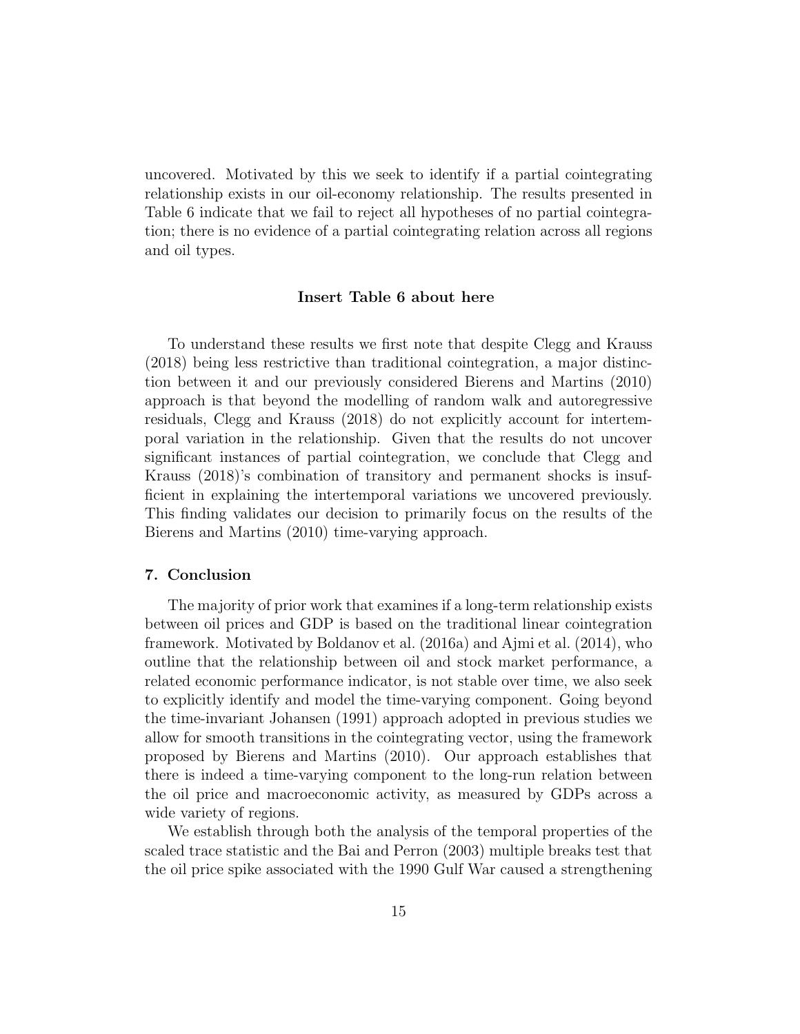uncovered. Motivated by this we seek to identify if a partial cointegrating relationship exists in our oil-economy relationship. The results presented in Table 6 indicate that we fail to reject all hypotheses of no partial cointegration; there is no evidence of a partial cointegrating relation across all regions and oil types.

#### Insert Table 6 about here

To understand these results we first note that despite Clegg and Krauss (2018) being less restrictive than traditional cointegration, a major distinction between it and our previously considered Bierens and Martins (2010) approach is that beyond the modelling of random walk and autoregressive residuals, Clegg and Krauss (2018) do not explicitly account for intertemporal variation in the relationship. Given that the results do not uncover significant instances of partial cointegration, we conclude that Clegg and Krauss (2018)'s combination of transitory and permanent shocks is insufficient in explaining the intertemporal variations we uncovered previously. This finding validates our decision to primarily focus on the results of the Bierens and Martins (2010) time-varying approach.

#### 7. Conclusion

The majority of prior work that examines if a long-term relationship exists between oil prices and GDP is based on the traditional linear cointegration framework. Motivated by Boldanov et al. (2016a) and Ajmi et al. (2014), who outline that the relationship between oil and stock market performance, a related economic performance indicator, is not stable over time, we also seek to explicitly identify and model the time-varying component. Going beyond the time-invariant Johansen (1991) approach adopted in previous studies we allow for smooth transitions in the cointegrating vector, using the framework proposed by Bierens and Martins (2010). Our approach establishes that there is indeed a time-varying component to the long-run relation between the oil price and macroeconomic activity, as measured by GDPs across a wide variety of regions.

We establish through both the analysis of the temporal properties of the scaled trace statistic and the Bai and Perron (2003) multiple breaks test that the oil price spike associated with the 1990 Gulf War caused a strengthening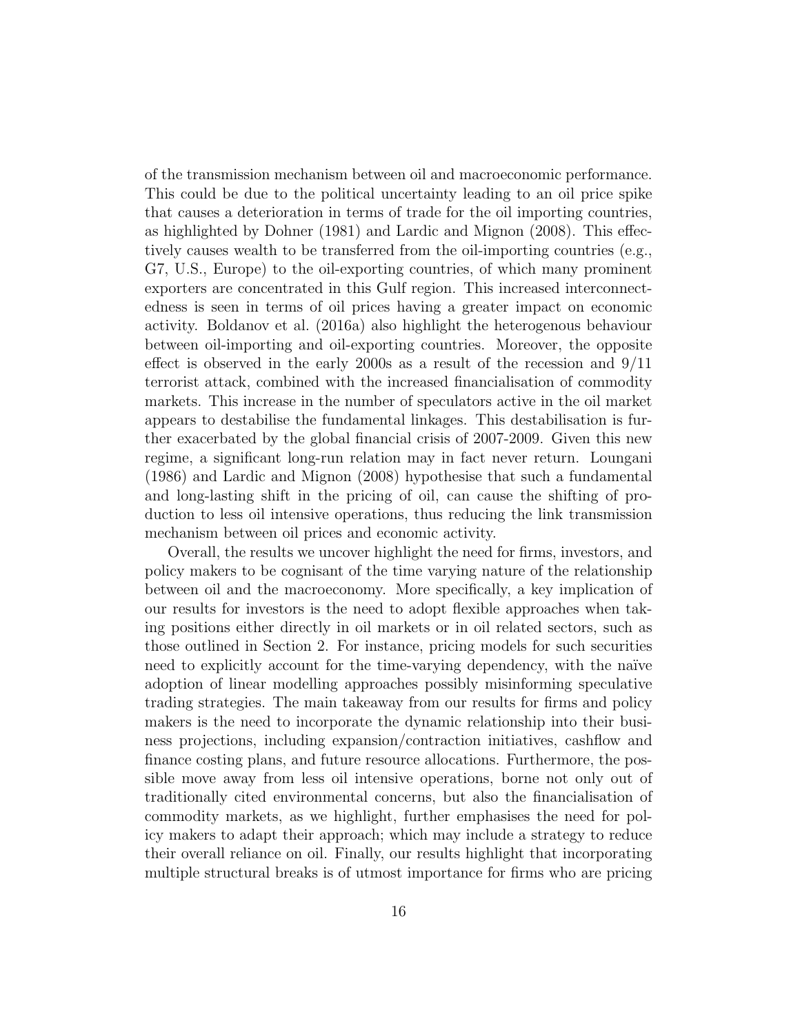of the transmission mechanism between oil and macroeconomic performance. This could be due to the political uncertainty leading to an oil price spike that causes a deterioration in terms of trade for the oil importing countries, as highlighted by Dohner (1981) and Lardic and Mignon (2008). This effectively causes wealth to be transferred from the oil-importing countries (e.g., G7, U.S., Europe) to the oil-exporting countries, of which many prominent exporters are concentrated in this Gulf region. This increased interconnectedness is seen in terms of oil prices having a greater impact on economic activity. Boldanov et al. (2016a) also highlight the heterogenous behaviour between oil-importing and oil-exporting countries. Moreover, the opposite effect is observed in the early 2000s as a result of the recession and 9/11 terrorist attack, combined with the increased financialisation of commodity markets. This increase in the number of speculators active in the oil market appears to destabilise the fundamental linkages. This destabilisation is further exacerbated by the global financial crisis of 2007-2009. Given this new regime, a significant long-run relation may in fact never return. Loungani (1986) and Lardic and Mignon (2008) hypothesise that such a fundamental and long-lasting shift in the pricing of oil, can cause the shifting of production to less oil intensive operations, thus reducing the link transmission mechanism between oil prices and economic activity.

Overall, the results we uncover highlight the need for firms, investors, and policy makers to be cognisant of the time varying nature of the relationship between oil and the macroeconomy. More specifically, a key implication of our results for investors is the need to adopt flexible approaches when taking positions either directly in oil markets or in oil related sectors, such as those outlined in Section 2. For instance, pricing models for such securities need to explicitly account for the time-varying dependency, with the naïve adoption of linear modelling approaches possibly misinforming speculative trading strategies. The main takeaway from our results for firms and policy makers is the need to incorporate the dynamic relationship into their business projections, including expansion/contraction initiatives, cashflow and finance costing plans, and future resource allocations. Furthermore, the possible move away from less oil intensive operations, borne not only out of traditionally cited environmental concerns, but also the financialisation of commodity markets, as we highlight, further emphasises the need for policy makers to adapt their approach; which may include a strategy to reduce their overall reliance on oil. Finally, our results highlight that incorporating multiple structural breaks is of utmost importance for firms who are pricing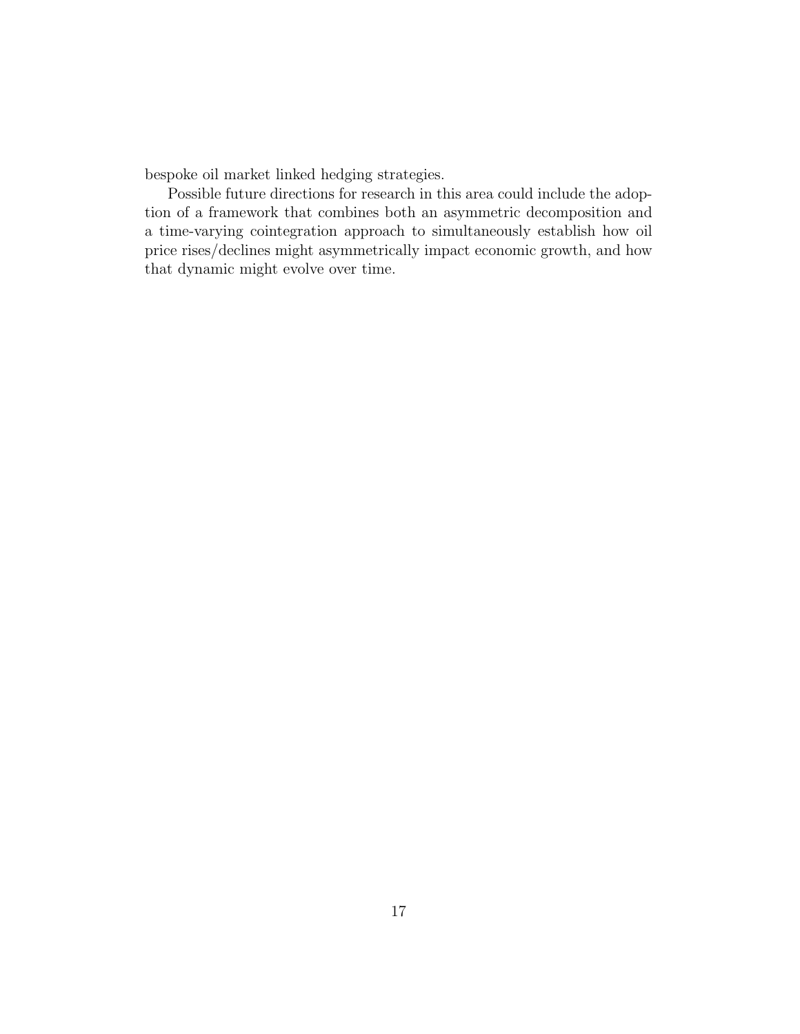bespoke oil market linked hedging strategies.

Possible future directions for research in this area could include the adoption of a framework that combines both an asymmetric decomposition and a time-varying cointegration approach to simultaneously establish how oil price rises/declines might asymmetrically impact economic growth, and how that dynamic might evolve over time.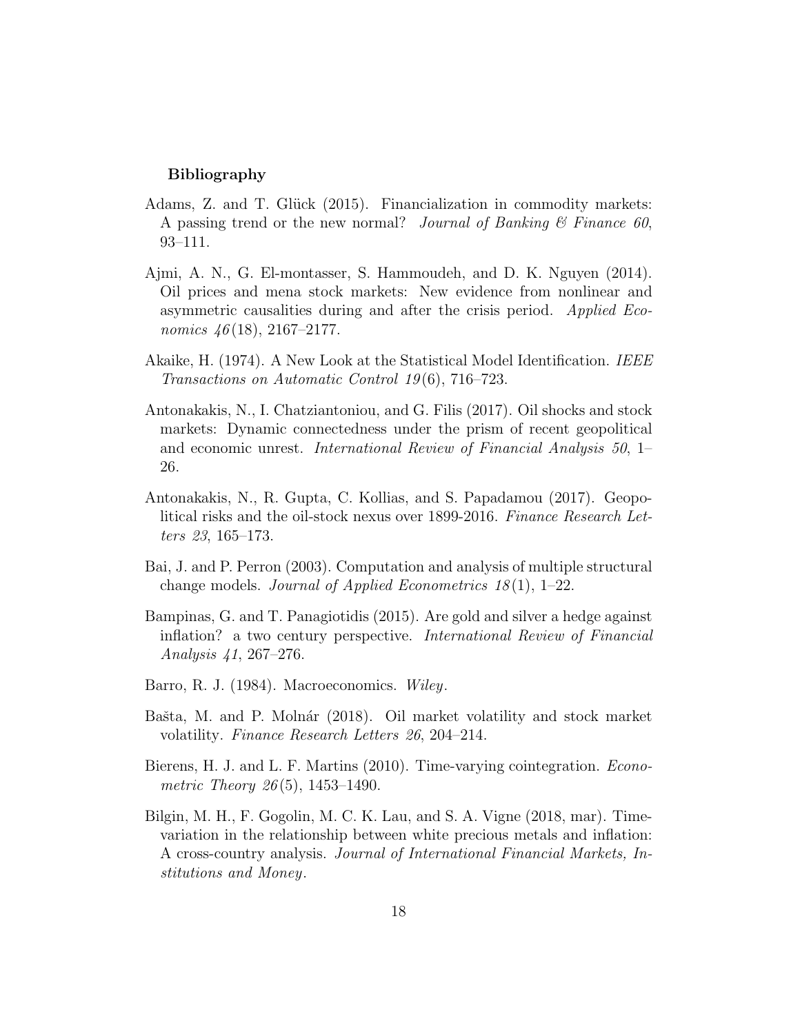#### Bibliography

- Adams, Z. and T. Glück (2015). Financialization in commodity markets: A passing trend or the new normal? Journal of Banking  $\mathcal{C}$  Finance 60, 93–111.
- Ajmi, A. N., G. El-montasser, S. Hammoudeh, and D. K. Nguyen (2014). Oil prices and mena stock markets: New evidence from nonlinear and asymmetric causalities during and after the crisis period. Applied Economics  $46(18)$ , 2167–2177.
- Akaike, H. (1974). A New Look at the Statistical Model Identification. IEEE Transactions on Automatic Control 19 (6), 716–723.
- Antonakakis, N., I. Chatziantoniou, and G. Filis (2017). Oil shocks and stock markets: Dynamic connectedness under the prism of recent geopolitical and economic unrest. International Review of Financial Analysis 50, 1– 26.
- Antonakakis, N., R. Gupta, C. Kollias, and S. Papadamou (2017). Geopolitical risks and the oil-stock nexus over 1899-2016. Finance Research Letters 23, 165–173.
- Bai, J. and P. Perron (2003). Computation and analysis of multiple structural change models. Journal of Applied Econometrics  $18(1)$ , 1–22.
- Bampinas, G. and T. Panagiotidis (2015). Are gold and silver a hedge against inflation? a two century perspective. International Review of Financial Analysis 41, 267–276.
- Barro, R. J. (1984). Macroeconomics. Wiley.
- Bašta, M. and P. Molnár (2018). Oil market volatility and stock market volatility. Finance Research Letters 26, 204–214.
- Bierens, H. J. and L. F. Martins (2010). Time-varying cointegration. Econometric Theory 26(5), 1453-1490.
- Bilgin, M. H., F. Gogolin, M. C. K. Lau, and S. A. Vigne (2018, mar). Timevariation in the relationship between white precious metals and inflation: A cross-country analysis. Journal of International Financial Markets, Institutions and Money.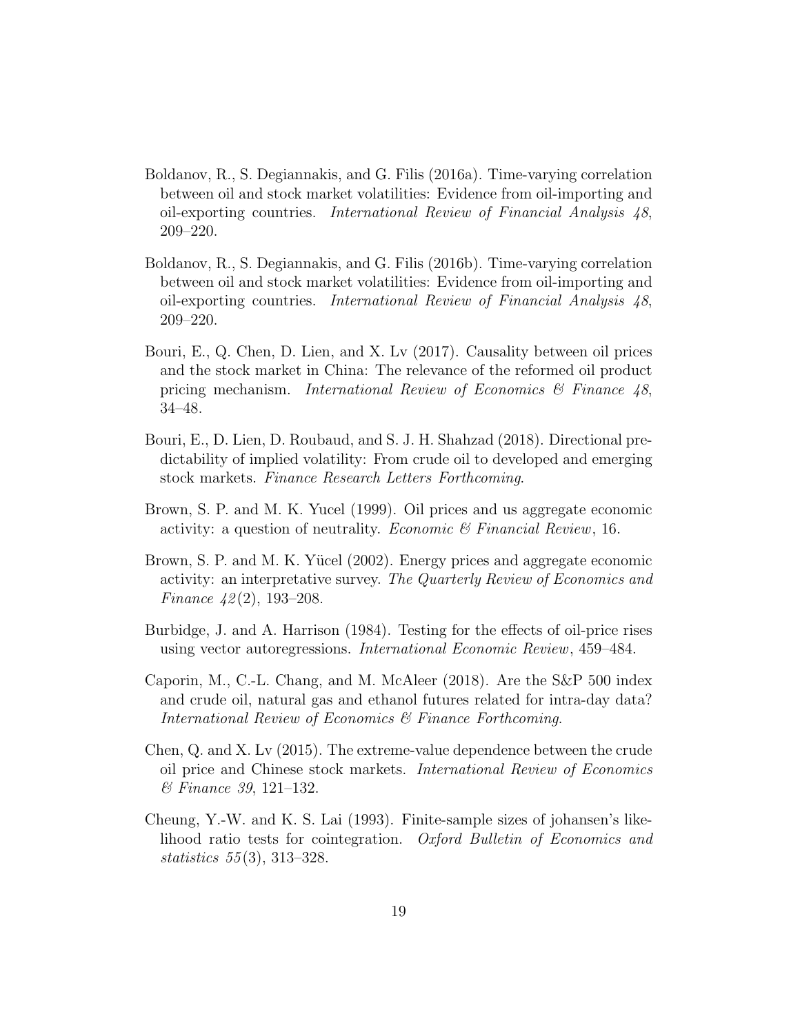- Boldanov, R., S. Degiannakis, and G. Filis (2016a). Time-varying correlation between oil and stock market volatilities: Evidence from oil-importing and oil-exporting countries. International Review of Financial Analysis 48, 209–220.
- Boldanov, R., S. Degiannakis, and G. Filis (2016b). Time-varying correlation between oil and stock market volatilities: Evidence from oil-importing and oil-exporting countries. International Review of Financial Analysis 48, 209–220.
- Bouri, E., Q. Chen, D. Lien, and X. Lv (2017). Causality between oil prices and the stock market in China: The relevance of the reformed oil product pricing mechanism. International Review of Economics & Finance 48, 34–48.
- Bouri, E., D. Lien, D. Roubaud, and S. J. H. Shahzad (2018). Directional predictability of implied volatility: From crude oil to developed and emerging stock markets. Finance Research Letters Forthcoming.
- Brown, S. P. and M. K. Yucel (1999). Oil prices and us aggregate economic activity: a question of neutrality. *Economic*  $\mathscr B$  Financial Review, 16.
- Brown, S. P. and M. K. Yücel (2002). Energy prices and aggregate economic activity: an interpretative survey. The Quarterly Review of Economics and Finance  $42(2)$ , 193-208.
- Burbidge, J. and A. Harrison (1984). Testing for the effects of oil-price rises using vector autoregressions. International Economic Review, 459–484.
- Caporin, M., C.-L. Chang, and M. McAleer (2018). Are the S&P 500 index and crude oil, natural gas and ethanol futures related for intra-day data? International Review of Economics & Finance Forthcoming.
- Chen, Q. and X. Lv (2015). The extreme-value dependence between the crude oil price and Chinese stock markets. International Review of Economics & Finance 39, 121–132.
- Cheung, Y.-W. and K. S. Lai (1993). Finite-sample sizes of johansen's likelihood ratio tests for cointegration. Oxford Bulletin of Economics and statistics 55 (3), 313–328.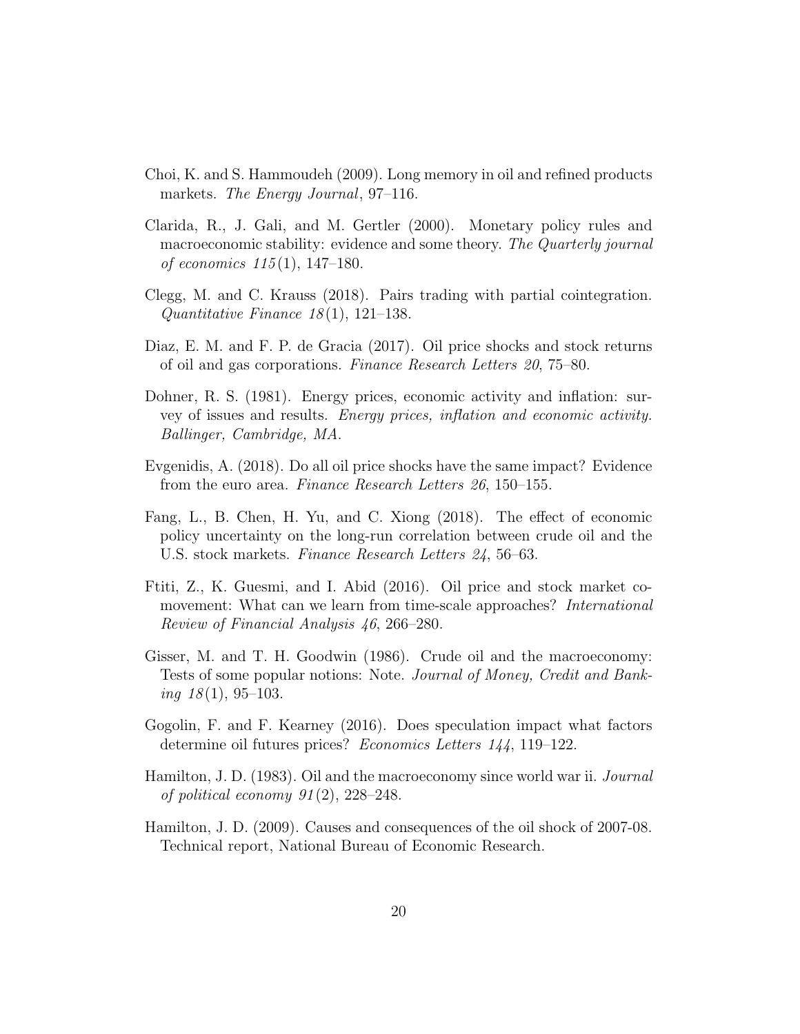- Choi, K. and S. Hammoudeh (2009). Long memory in oil and refined products markets. The Energy Journal, 97–116.
- Clarida, R., J. Gali, and M. Gertler (2000). Monetary policy rules and macroeconomic stability: evidence and some theory. The Quarterly journal of economics  $115(1)$ ,  $147-180$ .
- Clegg, M. and C. Krauss (2018). Pairs trading with partial cointegration. Quantitative Finance  $18(1)$ , 121-138.
- Diaz, E. M. and F. P. de Gracia (2017). Oil price shocks and stock returns of oil and gas corporations. Finance Research Letters 20, 75–80.
- Dohner, R. S. (1981). Energy prices, economic activity and inflation: survey of issues and results. Energy prices, inflation and economic activity. Ballinger, Cambridge, MA.
- Evgenidis, A. (2018). Do all oil price shocks have the same impact? Evidence from the euro area. Finance Research Letters 26, 150–155.
- Fang, L., B. Chen, H. Yu, and C. Xiong (2018). The effect of economic policy uncertainty on the long-run correlation between crude oil and the U.S. stock markets. Finance Research Letters 24, 56–63.
- Ftiti, Z., K. Guesmi, and I. Abid (2016). Oil price and stock market comovement: What can we learn from time-scale approaches? International Review of Financial Analysis 46, 266–280.
- Gisser, M. and T. H. Goodwin (1986). Crude oil and the macroeconomy: Tests of some popular notions: Note. Journal of Money, Credit and Banking  $18(1), 95-103$ .
- Gogolin, F. and F. Kearney (2016). Does speculation impact what factors determine oil futures prices? Economics Letters 144, 119–122.
- Hamilton, J. D. (1983). Oil and the macroeconomy since world war ii. Journal of political economy  $91(2)$ ,  $228-248$ .
- Hamilton, J. D. (2009). Causes and consequences of the oil shock of 2007-08. Technical report, National Bureau of Economic Research.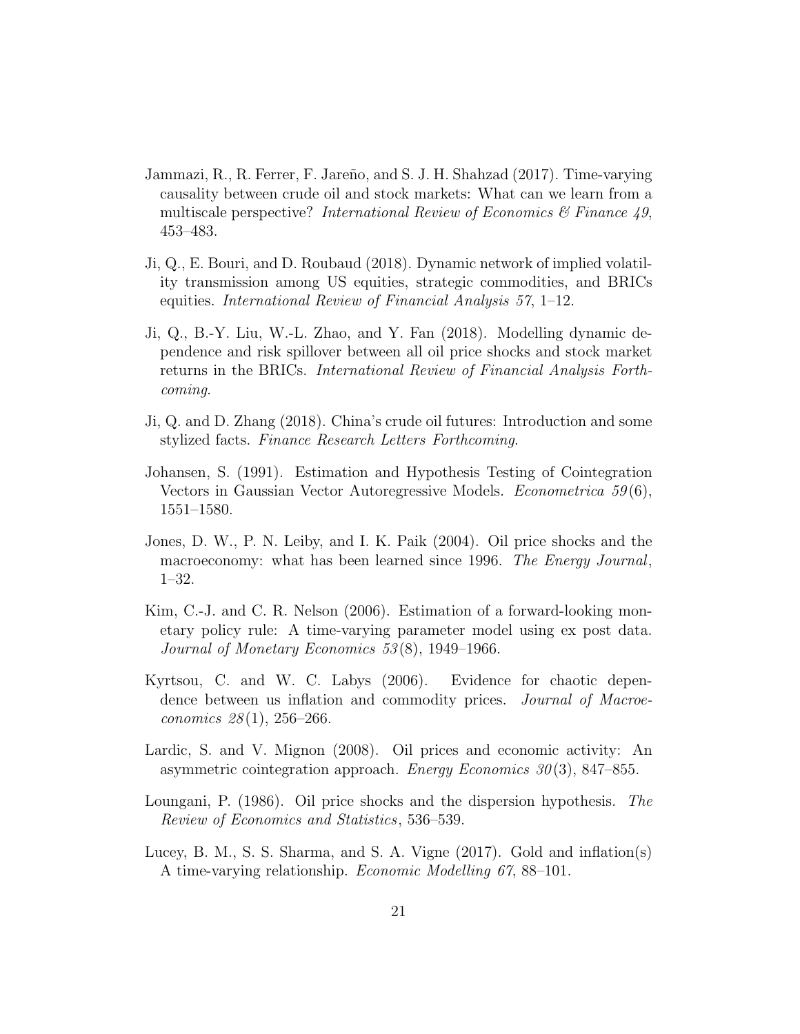- Jammazi, R., R. Ferrer, F. Jareño, and S. J. H. Shahzad (2017). Time-varying causality between crude oil and stock markets: What can we learn from a multiscale perspective? International Review of Economics  $\mathcal{B}$  Finance 49, 453–483.
- Ji, Q., E. Bouri, and D. Roubaud (2018). Dynamic network of implied volatility transmission among US equities, strategic commodities, and BRICs equities. International Review of Financial Analysis 57, 1–12.
- Ji, Q., B.-Y. Liu, W.-L. Zhao, and Y. Fan (2018). Modelling dynamic dependence and risk spillover between all oil price shocks and stock market returns in the BRICs. International Review of Financial Analysis Forthcoming.
- Ji, Q. and D. Zhang (2018). China's crude oil futures: Introduction and some stylized facts. Finance Research Letters Forthcoming.
- Johansen, S. (1991). Estimation and Hypothesis Testing of Cointegration Vectors in Gaussian Vector Autoregressive Models. *Econometrica*  $59(6)$ , 1551–1580.
- Jones, D. W., P. N. Leiby, and I. K. Paik (2004). Oil price shocks and the macroeconomy: what has been learned since 1996. The Energy Journal, 1–32.
- Kim, C.-J. and C. R. Nelson (2006). Estimation of a forward-looking monetary policy rule: A time-varying parameter model using ex post data. Journal of Monetary Economics 53 (8), 1949–1966.
- Kyrtsou, C. and W. C. Labys (2006). Evidence for chaotic dependence between us inflation and commodity prices. *Journal of Macroe*conomics  $28(1)$ ,  $256-266$ .
- Lardic, S. and V. Mignon (2008). Oil prices and economic activity: An asymmetric cointegration approach. Energy Economics  $30(3)$ , 847–855.
- Loungani, P. (1986). Oil price shocks and the dispersion hypothesis. The Review of Economics and Statistics, 536–539.
- Lucey, B. M., S. S. Sharma, and S. A. Vigne (2017). Gold and inflation(s) A time-varying relationship. Economic Modelling 67, 88–101.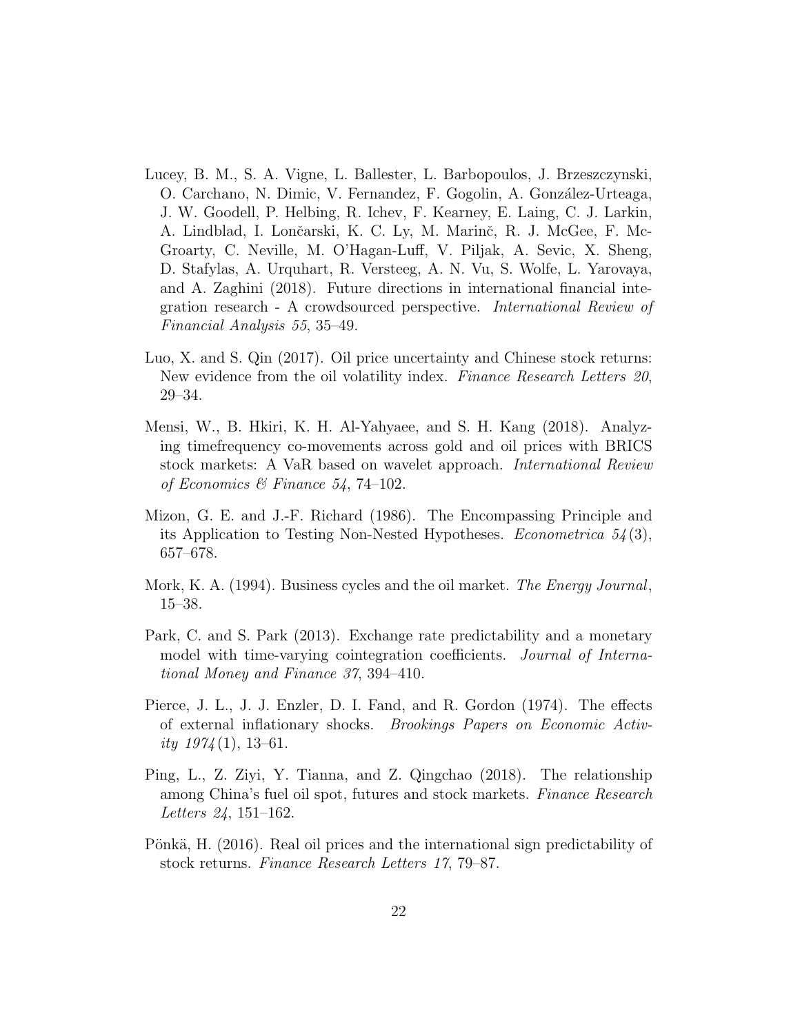- Lucey, B. M., S. A. Vigne, L. Ballester, L. Barbopoulos, J. Brzeszczynski, O. Carchano, N. Dimic, V. Fernandez, F. Gogolin, A. González-Urteaga, J. W. Goodell, P. Helbing, R. Ichev, F. Kearney, E. Laing, C. J. Larkin, A. Lindblad, I. Lončarski, K. C. Ly, M. Marinč, R. J. McGee, F. Mc-Groarty, C. Neville, M. O'Hagan-Luff, V. Piljak, A. Sevic, X. Sheng, D. Stafylas, A. Urquhart, R. Versteeg, A. N. Vu, S. Wolfe, L. Yarovaya, and A. Zaghini (2018). Future directions in international financial integration research - A crowdsourced perspective. International Review of Financial Analysis 55, 35–49.
- Luo, X. and S. Qin (2017). Oil price uncertainty and Chinese stock returns: New evidence from the oil volatility index. Finance Research Letters 20, 29–34.
- Mensi, W., B. Hkiri, K. H. Al-Yahyaee, and S. H. Kang (2018). Analyzing timefrequency co-movements across gold and oil prices with BRICS stock markets: A VaR based on wavelet approach. International Review of Economics & Finance 54, 74-102.
- Mizon, G. E. and J.-F. Richard (1986). The Encompassing Principle and its Application to Testing Non-Nested Hypotheses. Econometrica  $54(3)$ , 657–678.
- Mork, K. A. (1994). Business cycles and the oil market. *The Energy Journal*, 15–38.
- Park, C. and S. Park (2013). Exchange rate predictability and a monetary model with time-varying cointegration coefficients. Journal of International Money and Finance 37, 394–410.
- Pierce, J. L., J. J. Enzler, D. I. Fand, and R. Gordon (1974). The effects of external inflationary shocks. Brookings Papers on Economic Activity  $1974(1)$ , 13-61.
- Ping, L., Z. Ziyi, Y. Tianna, and Z. Qingchao (2018). The relationship among China's fuel oil spot, futures and stock markets. Finance Research Letters 24, 151–162.
- Pönkä, H. (2016). Real oil prices and the international sign predictability of stock returns. Finance Research Letters 17, 79–87.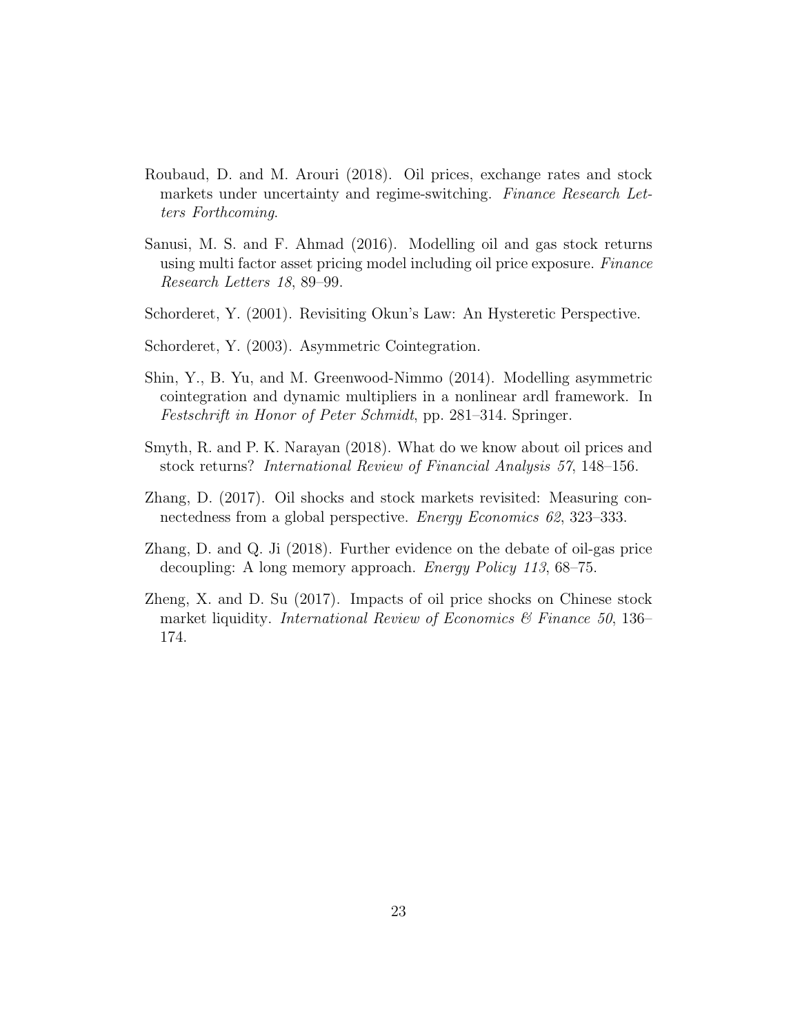- Roubaud, D. and M. Arouri (2018). Oil prices, exchange rates and stock markets under uncertainty and regime-switching. Finance Research Letters Forthcoming.
- Sanusi, M. S. and F. Ahmad (2016). Modelling oil and gas stock returns using multi factor asset pricing model including oil price exposure. Finance Research Letters 18, 89–99.
- Schorderet, Y. (2001). Revisiting Okun's Law: An Hysteretic Perspective.
- Schorderet, Y. (2003). Asymmetric Cointegration.
- Shin, Y., B. Yu, and M. Greenwood-Nimmo (2014). Modelling asymmetric cointegration and dynamic multipliers in a nonlinear ardl framework. In Festschrift in Honor of Peter Schmidt, pp. 281–314. Springer.
- Smyth, R. and P. K. Narayan (2018). What do we know about oil prices and stock returns? International Review of Financial Analysis 57, 148–156.
- Zhang, D. (2017). Oil shocks and stock markets revisited: Measuring connectedness from a global perspective. *Energy Economics 62*, 323–333.
- Zhang, D. and Q. Ji (2018). Further evidence on the debate of oil-gas price decoupling: A long memory approach. *Energy Policy 113*, 68–75.
- Zheng, X. and D. Su (2017). Impacts of oil price shocks on Chinese stock market liquidity. International Review of Economics & Finance 50, 136– 174.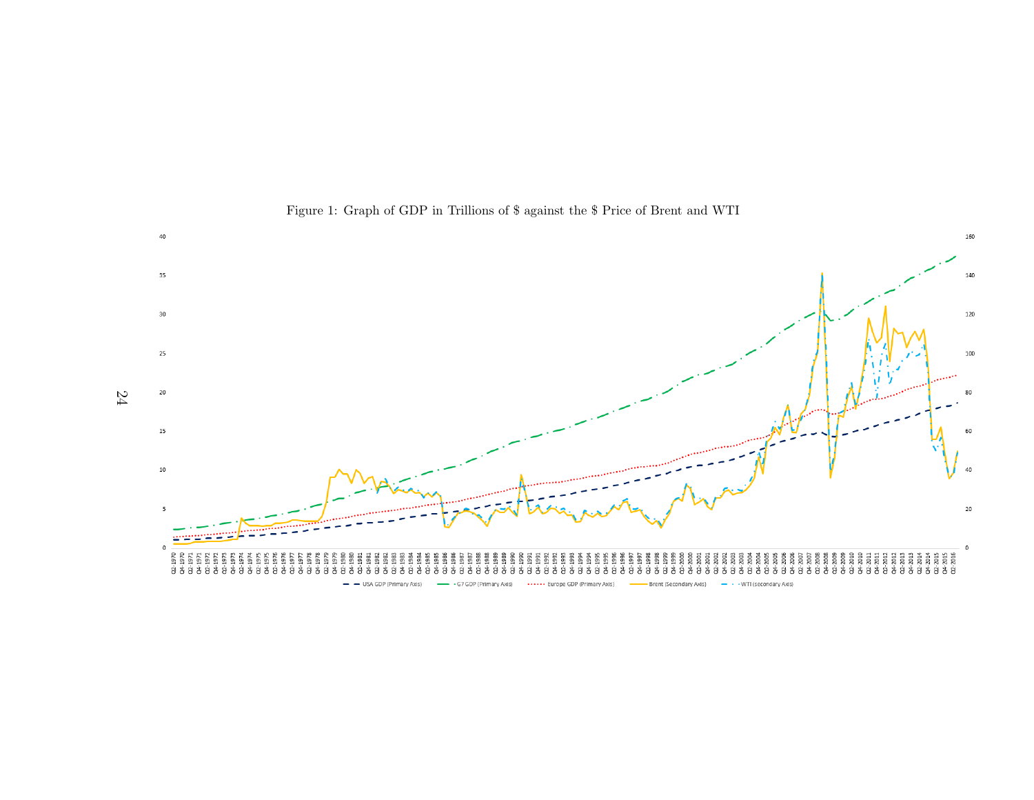

## Figure 1: Graph of GDP in Trillions of \$ against the \$ Price of Brent and WTI

24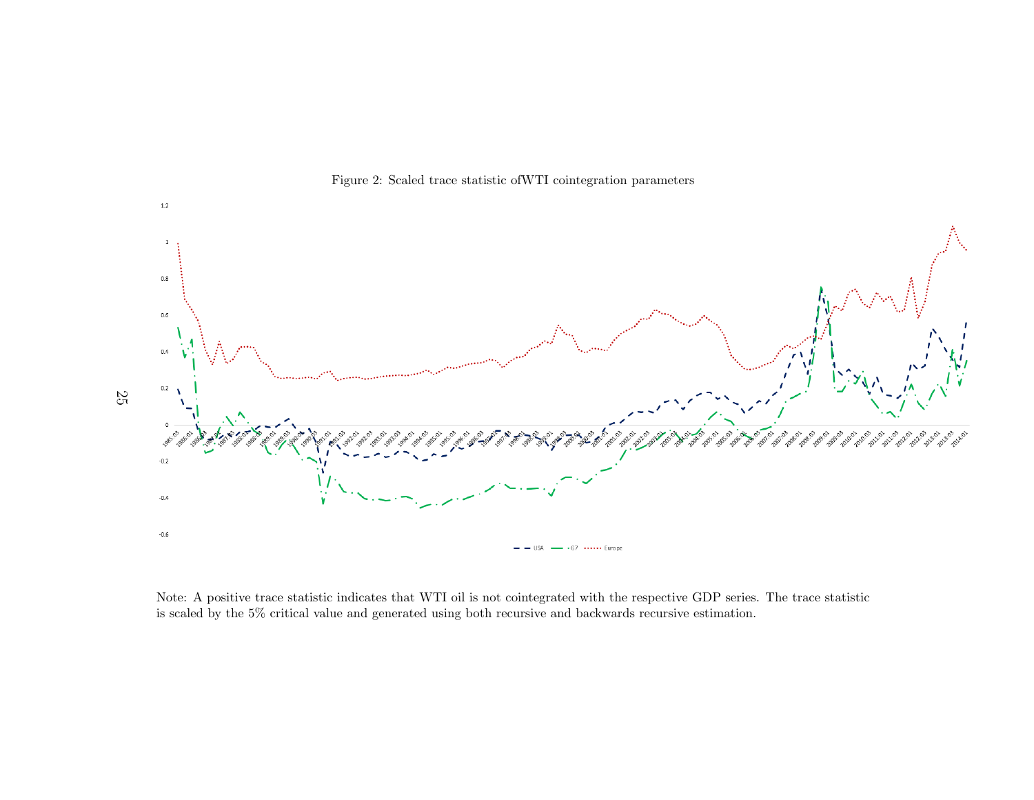

Figure 2: Scaled trace statistic ofWTI cointegration parameters

Note: A positive trace statistic indicates that WTI oil is not cointegrated with the respective GDP series. The trace statisticis scaled by the 5% critical value and generated using both recursive and backwards recursive estimation.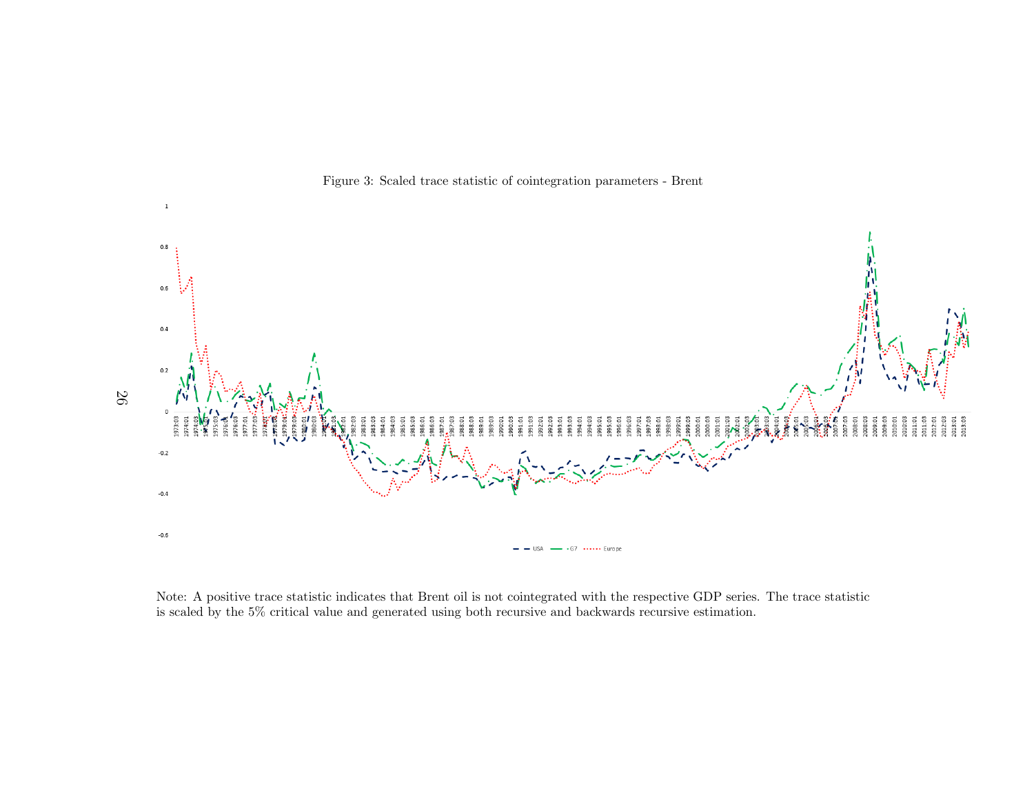

Figure 3: Scaled trace statistic of cointegration parameters - Brent

Note: A positive trace statistic indicates that Brent oil is not cointegrated with the respective GDP series. The trace statisticis scaled by the 5% critical value and generated using both recursive and backwards recursive estimation.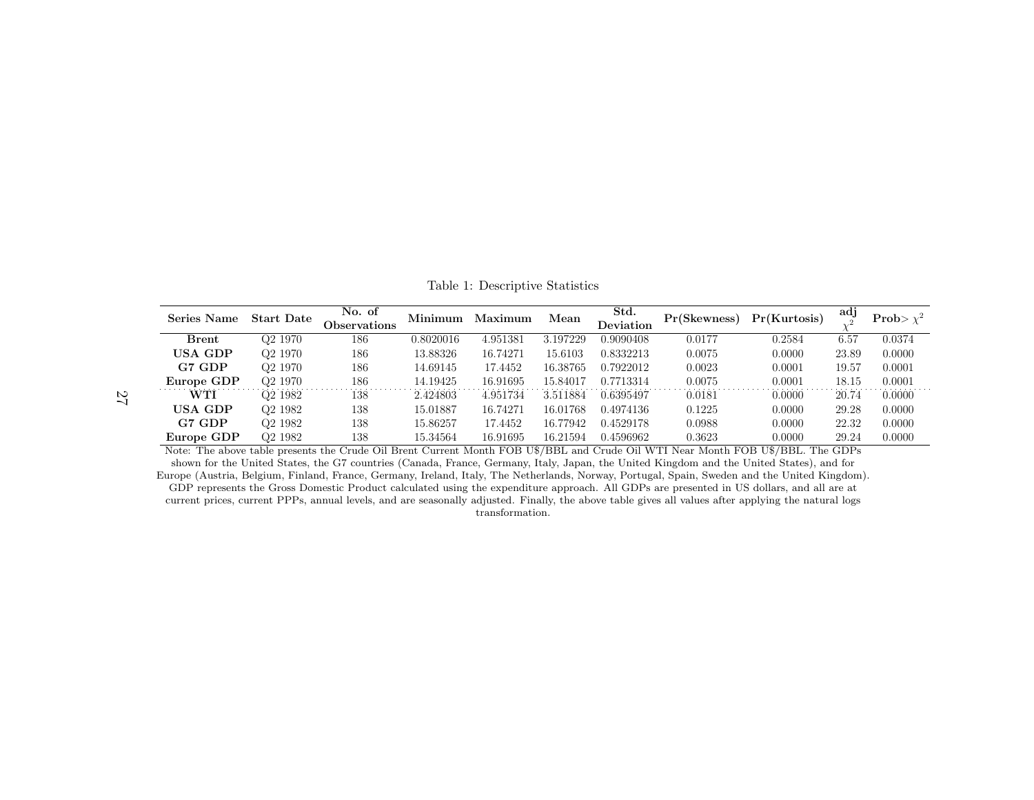| <b>Series Name</b>                                                                                                              | <b>Start Date</b>   | No. of<br>Observations | Minimum   | Maximum  | Mean     | Std.<br>Deviation | Pr(Skewness) | Pr(Kurtosis) | adj   | Prob> $\chi^2$ |
|---------------------------------------------------------------------------------------------------------------------------------|---------------------|------------------------|-----------|----------|----------|-------------------|--------------|--------------|-------|----------------|
| <b>Brent</b>                                                                                                                    | Q <sub>2</sub> 1970 | 186                    | 0.8020016 | 4.951381 | 3.197229 | 0.9090408         | 0.0177       | 0.2584       | 6.57  | 0.0374         |
| USA GDP                                                                                                                         | Q <sub>2</sub> 1970 | 186                    | 13.88326  | 16.74271 | 15.6103  | 0.8332213         | 0.0075       | 0.0000       | 23.89 | 0.0000         |
| G7 GDP                                                                                                                          | Q <sub>2</sub> 1970 | 186                    | 14.69145  | 17.4452  | 16.38765 | 0.7922012         | 0.0023       | 0.0001       | 19.57 | 0.0001         |
| Europe GDP                                                                                                                      | Q <sub>2</sub> 1970 | 186                    | 14.19425  | 16.91695 | 15.84017 | 0.7713314         | 0.0075       | 0.0001       | 18.15 | 0.0001         |
| <b>WTI</b>                                                                                                                      | Q <sub>2</sub> 1982 | 138                    | 2.424803  | 4.951734 | 3.511884 | 0.6395497         | 0.0181       | 0.0000       | 20.74 | 0.0000         |
| USA GDP                                                                                                                         | Q <sub>2</sub> 1982 | 138                    | 15.01887  | 16.74271 | 16.01768 | 0.4974136         | 0.1225       | 0.0000       | 29.28 | 0.0000         |
| G7 GDP                                                                                                                          | Q <sub>2</sub> 1982 | 138                    | 15.86257  | 17.4452  | 16.77942 | 0.4529178         | 0.0988       | 0.0000       | 22.32 | 0.0000         |
| Europe GDP                                                                                                                      | Q <sub>2</sub> 1982 | 138                    | 15.34564  | 16.91695 | 16.21594 | 0.4596962         | 0.3623       | 0.0000       | 29.24 | 0.0000         |
| Note: The above table presents the Crude Oil Brent Current Month FOB U\$/BBL and Crude Oil WTI Near Month FOB U\$/BBL. The GDPs |                     |                        |           |          |          |                   |              |              |       |                |

Table 1: Descriptive Statistics

shown for the United States, the G7 countries (Canada, France, Germany, Italy, Japan, the United Kingdom and the United States), and for Europe (Austria, Belgium, Finland, France, Germany, Ireland, Italy, The Netherlands, Norway, Portugal, Spain, Sweden and the United Kingdom).GDP represents the Gross Domestic Product calculated using the expenditure approach. All GDPs are presented in US dollars, and all are at current prices, current PPPs, annual levels, and are seasonally adjusted. Finally, the above table gives all values after applying the natural logstransformation.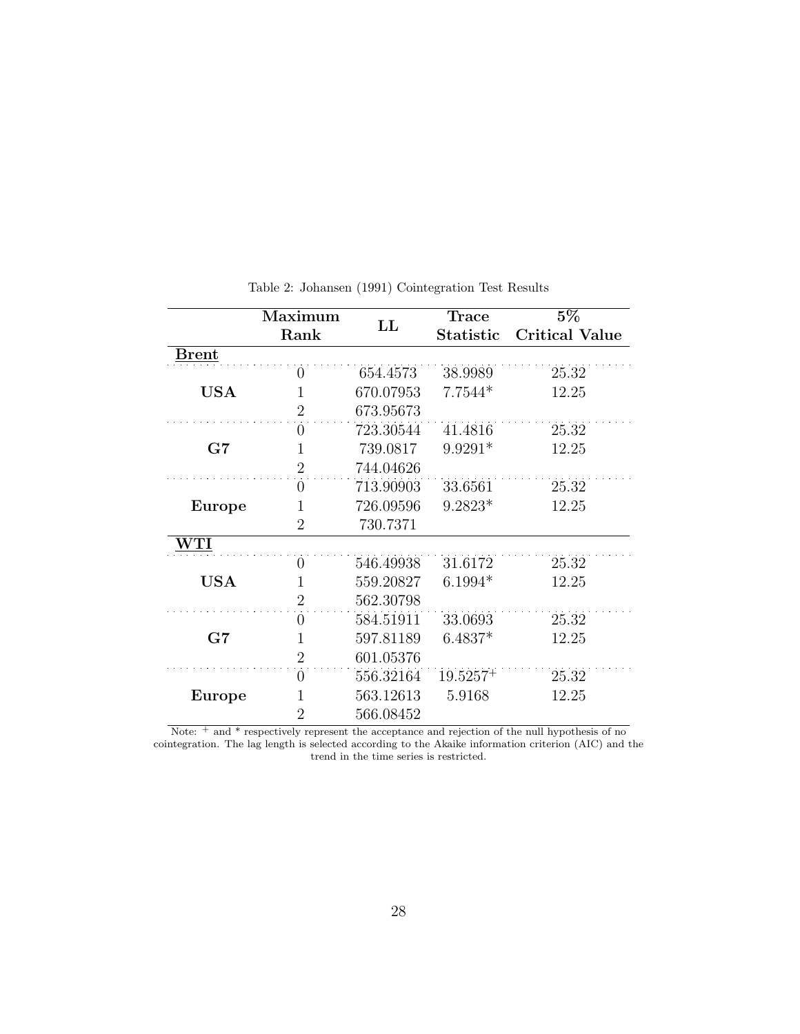|             | Maximum        | $\mathbf{L}\mathbf{L}$ | <b>Trace</b> | $5\%$                 |  |  |
|-------------|----------------|------------------------|--------------|-----------------------|--|--|
|             | Rank           |                        | Statistic    | <b>Critical Value</b> |  |  |
| Brent       |                |                        |              |                       |  |  |
|             | $\theta$       | 654.4573               | 38.9989      | 25.32                 |  |  |
| <b>USA</b>  | 1              | 670.07953              | $7.7544*$    | 12.25                 |  |  |
|             | $\overline{2}$ | 673.95673              |              |                       |  |  |
|             | $\theta$       | 723.30544              | 41.4816      | 25.32                 |  |  |
| G7          | 1              | 739.0817               | $9.9291*$    | 12.25                 |  |  |
|             | $\overline{2}$ | 744.04626              |              |                       |  |  |
|             | $\theta$       | 713.90903              | 33.6561      | 25.32                 |  |  |
| Europe      | 1              | 726.09596              | $9.2823*$    | 12.25                 |  |  |
|             | $\overline{2}$ | 730.7371               |              |                       |  |  |
| ${\rm WTI}$ |                |                        |              |                       |  |  |
|             | $\overline{0}$ | 546.49938              | 31.6172      | 25.32                 |  |  |
| <b>USA</b>  | $\mathbf{1}$   | 559.20827              | $6.1994*$    | 12.25                 |  |  |
|             | $\overline{2}$ | 562.30798              |              |                       |  |  |
|             | $\theta$       | 584.51911              | 33.0693      | 25.32                 |  |  |
| G7          | $\mathbf 1$    | 597.81189              | $6.4837*$    | 12.25                 |  |  |
|             | $\overline{2}$ | 601.05376              |              |                       |  |  |
|             | $\theta$       | 556.32164              | $19.5257+$   | 25.32                 |  |  |
| Europe      | 1              | 563.12613              | 5.9168       | 12.25                 |  |  |
|             | $\overline{2}$ | 566.08452              |              |                       |  |  |

Table 2: Johansen (1991) Cointegration Test Results

Note:  $^+$  and  $^{\ast}$  respectively represent the acceptance and rejection of the null hypothesis of no cointegration. The lag length is selected according to the Akaike information criterion (AIC) and the trend in the time series is restricted.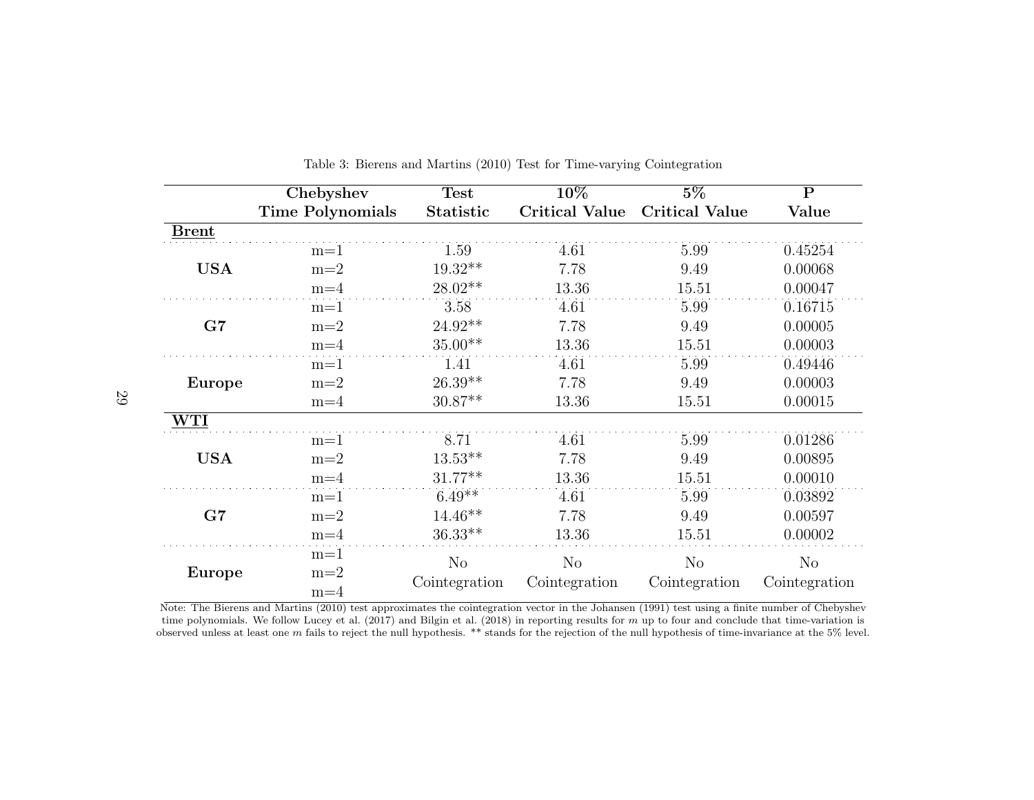|              | Chebyshev               | <b>Test</b>    | 10%                   | $5\%$                 | $\mathbf P$    |
|--------------|-------------------------|----------------|-----------------------|-----------------------|----------------|
|              | <b>Time Polynomials</b> | Statistic      | <b>Critical Value</b> | <b>Critical Value</b> | Value          |
| <b>Brent</b> |                         |                |                       |                       |                |
|              | $m=1$                   | 1.59           | 4.61                  | 5.99                  | 0.45254        |
| <b>USA</b>   | $m=2$                   | $19.32**$      | 7.78                  | 9.49                  | 0.00068        |
|              | $m=4$                   | $28.02**$      | 13.36                 | 15.51                 | 0.00047        |
|              | $m=1$                   | 3.58           | 4.61                  | 5.99                  | 0.16715        |
| G7           | $m=2$                   | $24.92**$      | 7.78                  | 9.49                  | 0.00005        |
|              | $m=4$                   | $35.00**$      | 13.36                 | 15.51                 | 0.00003        |
|              | $m=1$                   | 1.41           | 4.61                  | 5.99                  | 0.49446        |
| Europe       | $m=2$                   | $26.39**$      | 7.78                  | 9.49                  | 0.00003        |
|              | $m=4$                   | $30.87**$      | 13.36                 | 15.51                 | 0.00015        |
| WTI          |                         |                |                       |                       |                |
|              | $m=1$                   | 8.71           | 4.61                  | 5.99                  | 0.01286        |
| <b>USA</b>   | $m=2$                   | $13.53**$      | 7.78                  | 9.49                  | 0.00895        |
|              | $m=4$                   | $31.77**$      | 13.36                 | 15.51                 | 0.00010        |
|              | $m=1$                   | $6.49**$       | 4.61                  | 5.99                  | 0.03892        |
| G7           | $m=2$                   | $14.46**$      | 7.78                  | 9.49                  | 0.00597        |
|              | $m=4$                   | $36.33**$      | 13.36                 | 15.51                 | 0.00002        |
|              | $m=1$                   | N <sub>o</sub> | N <sub>o</sub>        | $\rm No$              | N <sub>o</sub> |
| Europe       | $m=2$                   | Cointegration  | Cointegration         | Cointegration         | Cointegration  |
|              | $m=4$                   |                |                       |                       |                |

Table 3: Bierens and Martins (2010) Test for Time-varying Cointegration

Note: The Bierens and Martins (2010) test approximates the cointegration vector in the Johansen (1991) test using a finite number of Chebyshev time polynomials. We follow Lucey et al. (2017) and Bilgin et al. (2018) in reporting results for m up to four and conclude that time-variation is<br>begand uples at least one m follo to reject the pull hypothesis. \*\* stands observed unless at least one m fails to reject the null hypothesis. \*\* stands for the rejection of the null hypothesis of time-invariance at the 5% level.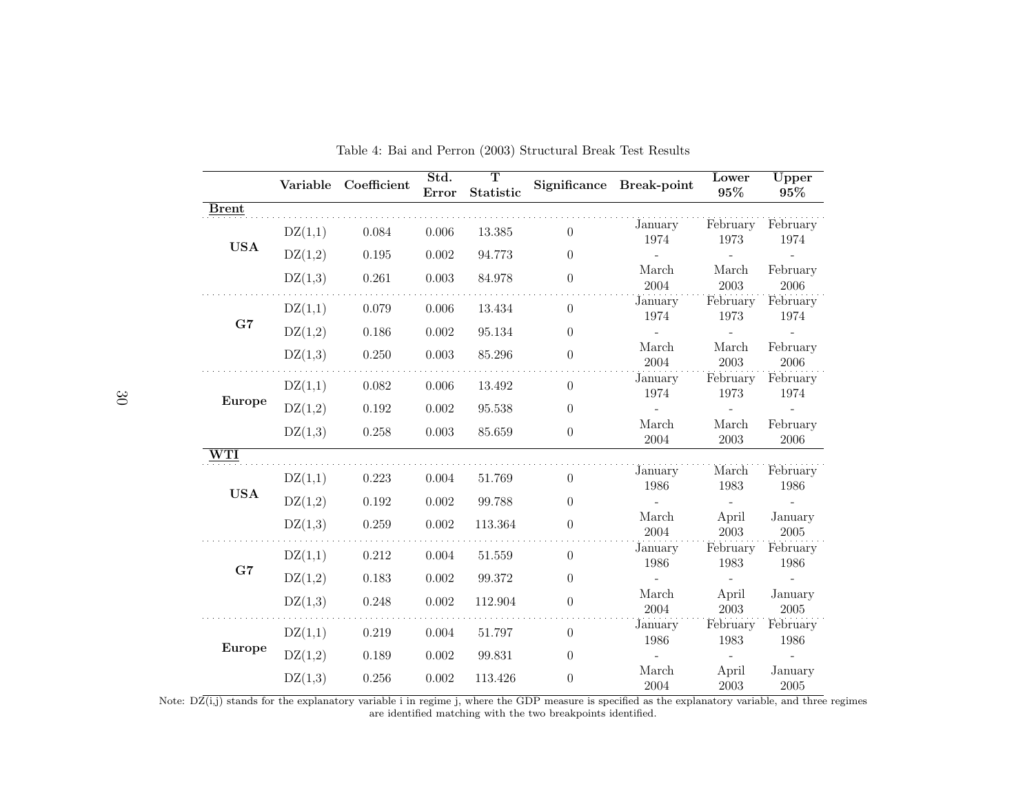|                   |         | Variable Coefficient | Std.<br>Error | $\overline{\mathbf{T}}$<br>Statistic |                  | Significance Break-point       | <b>Lower</b><br>$95\%$   | Upper<br>$95\%$       |
|-------------------|---------|----------------------|---------------|--------------------------------------|------------------|--------------------------------|--------------------------|-----------------------|
| <b>Brent</b>      |         |                      |               |                                      |                  |                                |                          |                       |
|                   | DZ(1,1) | 0.084                | 0.006         | 13.385                               | $\theta$         | January<br>1974                | February<br>1973         | February<br>1974      |
| $_{\mathrm{USA}}$ | DZ(1,2) | $0.195\,$            | 0.002         | 94.773                               | $\theta$         |                                |                          |                       |
|                   | DZ(1,3) | 0.261                | 0.003         | 84.978                               | $\theta$         | March<br>2004                  | March<br>2003            | February<br>2006      |
|                   | DZ(1,1) | 0.079                | 0.006         | 13.434                               | $\boldsymbol{0}$ | January<br>1974                | February<br>1973         | February<br>1974      |
| G7                | DZ(1,2) | 0.186                | 0.002         | 95.134                               | $\theta$         | $\frac{1}{2}$                  | $\overline{\phantom{a}}$ |                       |
|                   | DZ(1,3) | 0.250                | 0.003         | 85.296                               | $\boldsymbol{0}$ | March<br>2004                  | March<br>2003            | February<br>2006      |
|                   | DZ(1,1) | 0.082                | 0.006         | 13.492                               | $\overline{0}$   | January<br>1974                | February<br>1973         | February<br>1974      |
| Europe            | DZ(1,2) | $0.192\,$            | 0.002         | 95.538                               | $\overline{0}$   |                                |                          |                       |
|                   | DZ(1,3) | 0.258                | 0.003         | 85.659                               | $\theta$         | March<br>2004                  | March<br>$\,2003\,$      | February<br>$\,2006$  |
| WTI               |         |                      |               |                                      |                  |                                |                          |                       |
| <b>USA</b>        | DZ(1,1) | 0.223                | 0.004         | 51.769                               | $\theta$         | January<br>1986                | March<br>1983            | February<br>1986      |
|                   | DZ(1,2) | 0.192                | $0.002\,$     | 99.788                               | $\theta$         |                                |                          |                       |
|                   | DZ(1,3) | 0.259                | $0.002\,$     | 113.364                              | $\boldsymbol{0}$ | $\operatorname{March}$<br>2004 | April<br>2003            | January<br>$\,2005\,$ |
| G7                | DZ(1,1) | 0.212                | 0.004         | 51.559                               | $\boldsymbol{0}$ | January<br>1986                | February<br>1983         | February<br>1986      |
|                   | DZ(1,2) | 0.183                | 0.002         | 99.372                               | $\theta$         |                                |                          |                       |
|                   | DZ(1,3) | 0.248                | 0.002         | 112.904                              | $\boldsymbol{0}$ | March<br>2004                  | April<br>2003            | January<br>2005       |
|                   | DZ(1,1) | 0.219                | 0.004         | 51.797                               | $\theta$         | January<br>1986                | February<br>1983         | February<br>1986      |
| Europe            | DZ(1,2) | 0.189                | 0.002         | 99.831                               | $\boldsymbol{0}$ |                                |                          | $\sim$                |
|                   | DZ(1,3) | 0.256                | 0.002         | 113.426                              | $\theta$         | March<br>2004                  | April<br>2003            | January<br>$\,2005\,$ |

Table 4: Bai and Perron (2003) Structural Break Test Results

are identified matching with the two breakpoints identified.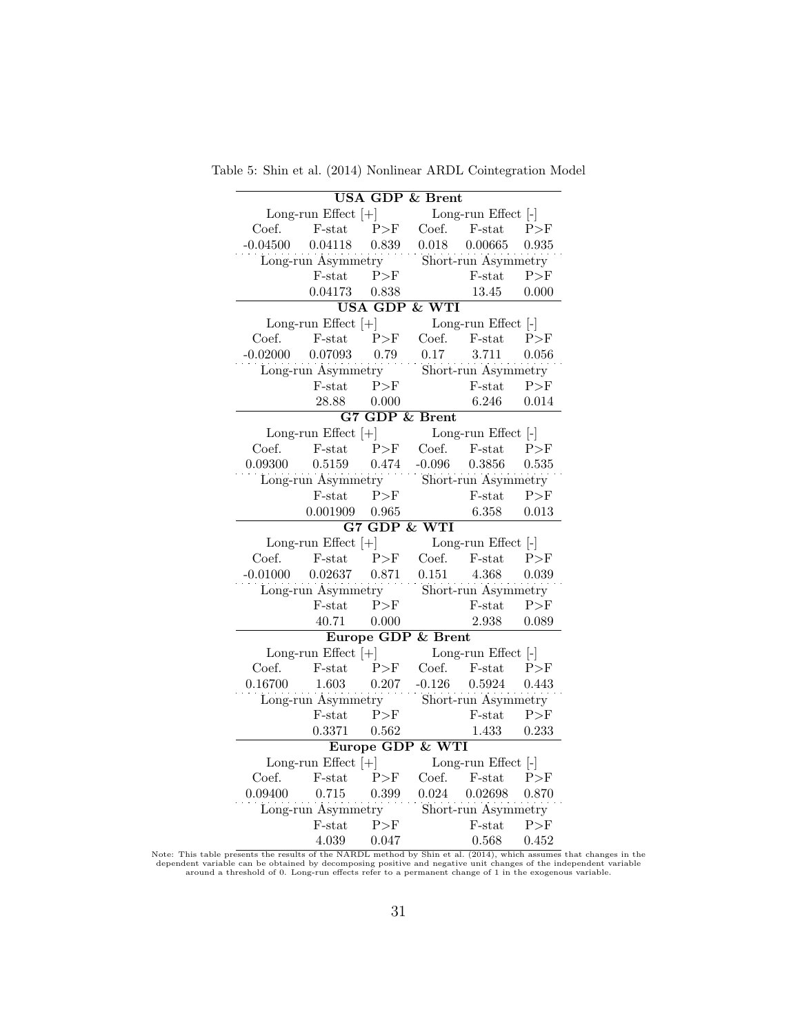Table 5: Shin et al. (2014) Nonlinear ARDL Cointegration Model

| <b>USA GDP &amp; Brent</b> |                              |                         |                          |                               |       |  |  |
|----------------------------|------------------------------|-------------------------|--------------------------|-------------------------------|-------|--|--|
|                            | Long-run Effect $[+]$        | Long-run Effect [-]     |                          |                               |       |  |  |
| Coef.                      | $F$ -stat                    | P>F                     | Coef.                    | F-stat                        | P>F   |  |  |
| $-0.04500$                 | 0.04118                      | 0.839                   | 0.018                    | 0.00665                       | 0.935 |  |  |
|                            | Long-run Asymmetry           |                         |                          | Short-run Asymmetry           |       |  |  |
|                            | F-stat                       | P>F                     |                          | F-stat                        | P>F   |  |  |
|                            | 0.04173                      | 0.838                   |                          | 13.45                         | 0.000 |  |  |
|                            |                              |                         | <b>USA GDP &amp; WTI</b> |                               |       |  |  |
|                            | Long-run Effect $[+]$        |                         |                          | Long-run Effect [-]           |       |  |  |
| Coef.                      | $F-stat$                     | P>F                     |                          | Coef. F-stat                  | P>F   |  |  |
| $-0.02000$                 | 0.07093                      | 0.79                    | 0.17                     | 3.711                         | 0.056 |  |  |
|                            | Long-run Asymmetry           |                         |                          | Short-run Asymmetry           |       |  |  |
|                            | F-stat                       | P>F                     |                          | F-stat                        | P>F   |  |  |
|                            | 28.88                        | 0.000                   |                          | 6.246                         | 0.014 |  |  |
|                            |                              |                         | G7 GDP & Brent           |                               |       |  |  |
|                            | Long-run Effect $[+]$        |                         |                          | Long-run Effect [-]           |       |  |  |
| Coef.                      | $F$ -stat                    | P>F                     | Coef.                    | $F$ -stat                     | P>F   |  |  |
| 0.09300                    | 0.5159                       | 0.474                   | $-0.096$                 | 0.3856                        | 0.535 |  |  |
|                            | Long-run Asymmetry           |                         |                          | Short-run Asymmetry           |       |  |  |
|                            | $F-stat$ $P>F$               |                         |                          | F-stat                        | P>F   |  |  |
|                            | 0.001909                     | 0.965                   |                          | 6.358                         | 0.013 |  |  |
|                            |                              | <b>G7 GDP &amp; WTI</b> |                          |                               |       |  |  |
|                            | Long-run Effect $[+]$        |                         |                          | Long-run Effect [-]           |       |  |  |
| Coef.                      | $F$ -stat                    | P>F                     | Coef.                    | F-stat                        | P>F   |  |  |
| $-0.01000$                 | 0.02637                      | 0.871                   | 0.151                    | 4.368                         | 0.039 |  |  |
|                            | Long-run Asymmetry           |                         |                          | Short-run Asymmetry           |       |  |  |
|                            | F-stat                       | P>F                     |                          | $F$ -stat                     | P>F   |  |  |
|                            | 40.71                        | 0.000                   |                          | 2.938                         | 0.089 |  |  |
|                            |                              |                         | Europe GDP & Brent       |                               |       |  |  |
|                            | Long-run Effect $[+]$        |                         |                          | Long-run Effect [-]           |       |  |  |
| Coef.                      | $F$ -stat                    | P>F                     | Coef.                    | F-stat                        | P>F   |  |  |
| 0.16700                    | 1.603                        | 0.207                   | $-0.126$                 | 0.5924                        | 0.443 |  |  |
|                            | Long-run Asymmetry           |                         |                          | Short-run Asymmetry           |       |  |  |
|                            | F-stat                       | P>F                     |                          | F-stat                        | P>F   |  |  |
|                            | 0.3371                       | 0.562                   |                          | 1.433                         | 0.233 |  |  |
|                            |                              |                         | Europe GDP & WTI         |                               |       |  |  |
|                            | Long-run Effect $[+]$        |                         | Long-run Effect [-]      |                               |       |  |  |
| Coef.                      | $F$ -stat                    | P>F                     | Coef.                    | F-stat                        | P>F   |  |  |
|                            |                              | 0.399                   | 0.024                    | 0.02698                       | 0.870 |  |  |
| 0.09400                    | 0.715                        |                         |                          |                               |       |  |  |
|                            |                              |                         |                          |                               |       |  |  |
|                            | Long-run Asymmetry<br>F-stat | P>F                     |                          | Short-run Asymmetry<br>F-stat | P>F   |  |  |

Note: This table presents the results of the NARDL method by Shin et al. (2014), which assumes that changes in the<br>dependent variable can be obtained by decomposing positive and negative unit changes of the independent var